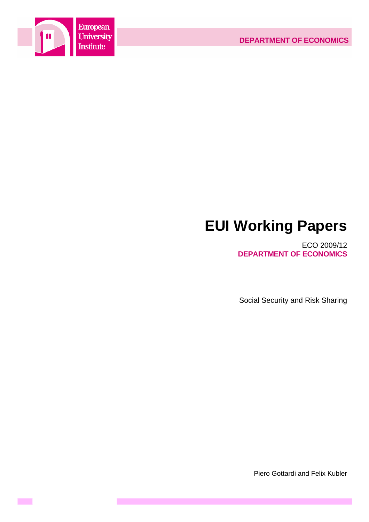

**Contract** 

# **EUI Working Papers**

ECO 2009/12 **DEPARTMENT OF ECONOMICS**

Social Security and Risk Sharing

Piero Gottardi and Felix Kubler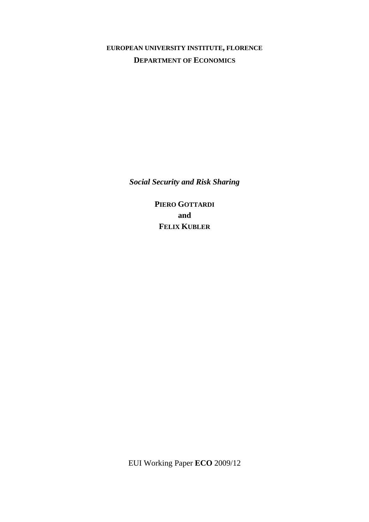# **EUROPEAN UNIVERSITY INSTITUTE, FLORENCE DEPARTMENT OF ECONOMICS**

*Social Security and Risk Sharing* 

**PIERO GOTTARDI and FELIX KUBLER**

EUI Working Paper **ECO** 2009/12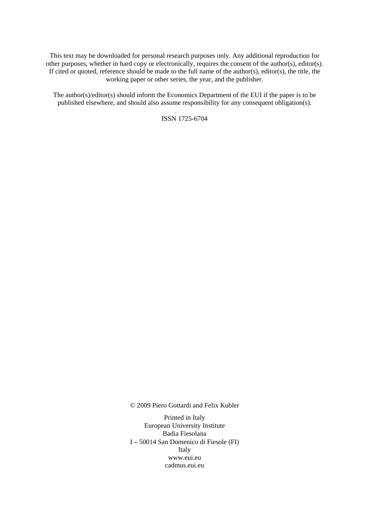This text may be downloaded for personal research purposes only. Any additional reproduction for other purposes, whether in hard copy or electronically, requires the consent of the author(s), editor(s). If cited or quoted, reference should be made to the full name of the author(s), editor(s), the title, the working paper or other series, the year, and the publisher.

The author(s)/editor(s) should inform the Economics Department of the EUI if the paper is to be published elsewhere, and should also assume responsibility for any consequent obligation(s).

ISSN 1725-6704

© 2009 Piero Gottardi and Felix Kubler

Printed in Italy European University Institute Badia Fiesolana I – 50014 San Domenico di Fiesole (FI) Italy [www.eui.eu](http://www.eui.eu/)  [cadmus.eui.eu](http://www.eui.eu/)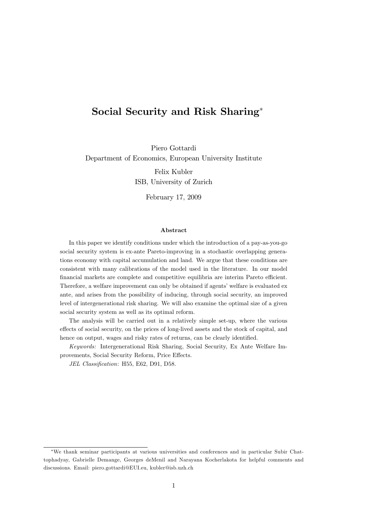# Social Security and Risk Sharing\*

Piero Gottardi Department of Economics, European University Institute Felix Kubler ISB, University of Zurich

February 17, 2009

# Abstract

In this paper we identify conditions under which the introduction of a pay-as-you-go social security system is ex-ante Pareto-improving in a stochastic overlapping generations economy with capital accumulation and land. We argue that these conditions are consistent with many calibrations of the model used in the literature. In our model financial markets are complete and competitive equilibria are interim Pareto efficient. Therefore, a welfare improvement can only be obtained if agents' welfare is evaluated ex ante, and arises from the possibility of inducing, through social security, an improved level of intergenerational risk sharing. We will also examine the optimal size of a given social security system as well as its optimal reform.

The analysis will be carried out in a relatively simple set-up, where the various effects of social security, on the prices of long-lived assets and the stock of capital, and hence on output, wages and risky rates of returns, can be clearly identified.

Keywords: Intergenerational Risk Sharing, Social Security, Ex Ante Welfare Improvements, Social Security Reform, Price Effects.

JEL Classification: H55, E62, D91, D58.

<sup>\*</sup>We thank seminar participants at various universities and conferences and in particular Subir Chattophadyay, Gabrielle Demange, Georges deMenil and Narayana Kocherlakota for helpful comments and discussions. Email: piero.gottardi@EUI.eu, kubler@isb.uzh.ch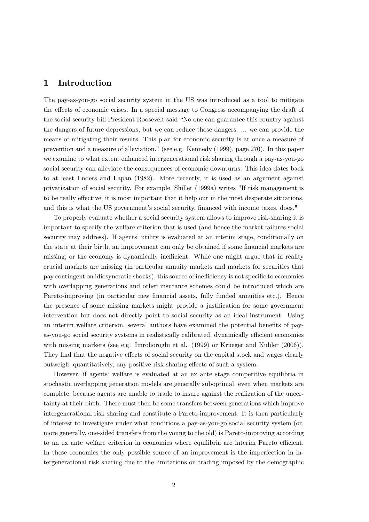#### $\mathbf 1$ Introduction

The pay-as-you-go social security system in the US was introduced as a tool to mitigate the effects of economic crises. In a special message to Congress accompanying the draft of the social security bill President Roosevelt said "No one can guarantee this country against the dangers of future depressions, but we can reduce those dangers. ... we can provide the means of mitigating their results. This plan for economic security is at once a measure of prevention and a measure of alleviation." (see e.g. Kennedy (1999), page 270). In this paper we examine to what extent enhanced intergenerational risk sharing through a pay-as-you-go social security can alleviate the consequences of economic downturns. This idea dates back to at least Enders and Lapan (1982). More recently, it is used as an argument against privatization of social security. For example, Shiller (1999a) writes "If risk management is to be really effective, it is most important that it help out in the most desperate situations, and this is what the US government's social security, financed with income taxes, does."

To properly evaluate whether a social security system allows to improve risk-sharing it is important to specify the welfare criterion that is used (and hence the market failures social security may address). If agents' utility is evaluated at an interim stage, conditionally on the state at their birth, an improvement can only be obtained if some financial markets are missing, or the economy is dynamically inefficient. While one might argue that in reality crucial markets are missing (in particular annuity markets and markets for securities that pay contingent on idiosyncratic shocks), this source of inefficiency is not specific to economies with overlapping generations and other insurance schemes could be introduced which are Pareto-improving (in particular new financial assets, fully funded annuities etc.). Hence the presence of some missing markets might provide a justification for some government intervention but does not directly point to social security as an ideal instrument. Using an interim welfare criterion, several authors have examined the potential benefits of payas-you-go social security systems in realistically calibrated, dynamically efficient economies with missing markets (see e.g. Imrohoroglu et al. (1999) or Krueger and Kubler (2006)). They find that the negative effects of social security on the capital stock and wages clearly outweigh, quantitatively, any positive risk sharing effects of such a system.

However, if agents' welfare is evaluated at an ex ante stage competitive equilibria in stochastic overlapping generation models are generally suboptimal, even when markets are complete, because agents are unable to trade to insure against the realization of the uncertainty at their birth. There must then be some transfers between generations which improve intergenerational risk sharing and constitute a Pareto-improvement. It is then particularly of interest to investigate under what conditions a pay-as-you-go social security system (or, more generally, one-sided transfers from the young to the old) is Pareto-improving according to an ex ante welfare criterion in economies where equilibria are interim Pareto efficient. In these economies the only possible source of an improvement is the imperfection in intergenerational risk sharing due to the limitations on trading imposed by the demographic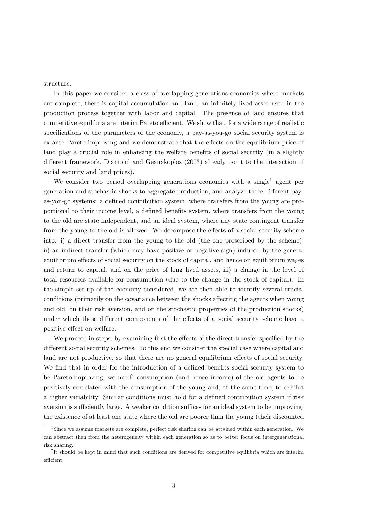structure.

In this paper we consider a class of overlapping generations economies where markets are complete, there is capital accumulation and land, an infinitely lived asset used in the production process together with labor and capital. The presence of land ensures that competitive equilibria are interim Pareto efficient. We show that, for a wide range of realistic specifications of the parameters of the economy, a pay-as-you-go social security system is ex-ante Pareto improving and we demonstrate that the effects on the equilibrium price of land play a crucial role in enhancing the welfare benefits of social security (in a slightly different framework, Diamond and Geanakoplos (2003) already point to the interaction of social security and land prices).

We consider two period overlapping generations economies with a single<sup>1</sup> agent per generation and stochastic shocks to aggregate production, and analyze three different payas-you-go systems: a defined contribution system, where transfers from the young are proportional to their income level, a defined benefits system, where transfers from the young to the old are state independent, and an ideal system, where any state contingent transfer from the young to the old is allowed. We decompose the effects of a social security scheme into: i) a direct transfer from the young to the old (the one prescribed by the scheme), ii) an indirect transfer (which may have positive or negative sign) induced by the general equilibrium effects of social security on the stock of capital, and hence on equilibrium wages and return to capital, and on the price of long lived assets, iii) a change in the level of total resources available for consumption (due to the change in the stock of capital). In the simple set-up of the economy considered, we are then able to identify several crucial conditions (primarily on the covariance between the shocks affecting the agents when young and old, on their risk aversion, and on the stochastic properties of the production shocks) under which these different components of the effects of a social security scheme have a positive effect on welfare.

We proceed in steps, by examining first the effects of the direct transfer specified by the different social security schemes. To this end we consider the special case where capital and land are not productive, so that there are no general equilibrium effects of social security. We find that in order for the introduction of a defined benefits social security system to be Pareto-improving, we need<sup>2</sup> consumption (and hence income) of the old agents to be positively correlated with the consumption of the young and, at the same time, to exhibit a higher variability. Similar conditions must hold for a defined contribution system if risk aversion is sufficiently large. A weaker condition suffices for an ideal system to be improving: the existence of at least one state where the old are poorer than the young (their discounted

 $1$ Since we assume markets are complete, perfect risk sharing can be attained within each generation. We can abstract then from the heterogeneity within each generation so as to better focus on intergenerational risk sharing.

<sup>&</sup>lt;sup>2</sup>It should be kept in mind that such conditions are derived for competitive equilibria which are interim efficient.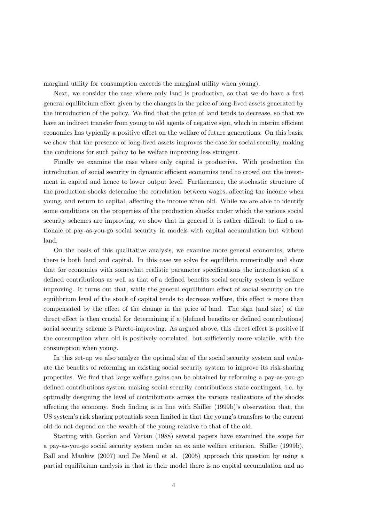marginal utility for consumption exceeds the marginal utility when young).

Next, we consider the case where only land is productive, so that we do have a first general equilibrium effect given by the changes in the price of long-lived assets generated by the introduction of the policy. We find that the price of land tends to decrease, so that we have an indirect transfer from young to old agents of negative sign, which in interim efficient economies has typically a positive effect on the welfare of future generations. On this basis, we show that the presence of long-lived assets improves the case for social security, making the conditions for such policy to be welfare improving less stringent.

Finally we examine the case where only capital is productive. With production the introduction of social security in dynamic efficient economies tend to crowd out the investment in capital and hence to lower output level. Furthermore, the stochastic structure of the production shocks determine the correlation between wages, affecting the income when young, and return to capital, affecting the income when old. While we are able to identify some conditions on the properties of the production shocks under which the various social security schemes are improving, we show that in general it is rather difficult to find a rationale of pay-as-you-go social security in models with capital accumulation but without land.

On the basis of this qualitative analysis, we examine more general economies, where there is both land and capital. In this case we solve for equilibria numerically and show that for economies with somewhat realistic parameter specifications the introduction of a defined contributions as well as that of a defined benefits social security system is welfare improving. It turns out that, while the general equilibrium effect of social security on the equilibrium level of the stock of capital tends to decrease welfare, this effect is more than compensated by the effect of the change in the price of land. The sign (and size) of the direct effect is then crucial for determining if a (defined benefits or defined contributions) social security scheme is Pareto-improving. As argued above, this direct effect is positive if the consumption when old is positively correlated, but sufficiently more volatile, with the consumption when young.

In this set-up we also analyze the optimal size of the social security system and evaluate the benefits of reforming an existing social security system to improve its risk-sharing properties. We find that large welfare gains can be obtained by reforming a pay-as-you-go defined contributions system making social security contributions state contingent, i.e. by optimally designing the level of contributions across the various realizations of the shocks affecting the economy. Such finding is in line with Shiller (1999b)'s observation that, the US system's risk sharing potentials seem limited in that the young's transfers to the current old do not depend on the wealth of the young relative to that of the old.

Starting with Gordon and Varian (1988) several papers have examined the scope for a pay-as-you-go social security system under an ex ante welfare criterion. Shiller (1999b), Ball and Mankiw (2007) and De Menil et al. (2005) approach this question by using a partial equilibrium analysis in that in their model there is no capital accumulation and no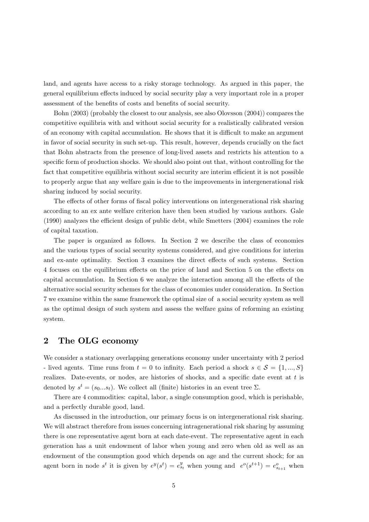land, and agents have access to a risky storage technology. As argued in this paper, the general equilibrium effects induced by social security play a very important role in a proper assessment of the benefits of costs and benefits of social security.

Bohn (2003) (probably the closest to our analysis, see also Olovsson (2004)) compares the competitive equilibria with and without social security for a realistically calibrated version of an economy with capital accumulation. He shows that it is difficult to make an argument in favor of social security in such set-up. This result, however, depends crucially on the fact that Bohn abstracts from the presence of long-lived assets and restricts his attention to a specific form of production shocks. We should also point out that, without controlling for the fact that competitive equilibria without social security are interim efficient it is not possible to properly argue that any welfare gain is due to the improvements in intergenerational risk sharing induced by social security.

The effects of other forms of fiscal policy interventions on intergenerational risk sharing according to an ex ante welfare criterion have then been studied by various authors. Gale (1990) analyzes the efficient design of public debt, while Smetters (2004) examines the role of capital taxation.

The paper is organized as follows. In Section 2 we describe the class of economies and the various types of social security systems considered, and give conditions for interim and ex-ante optimality. Section 3 examines the direct effects of such systems. Section 4 focuses on the equilibrium effects on the price of land and Section 5 on the effects on capital accumulation. In Section 6 we analyze the interaction among all the effects of the alternative social security schemes for the class of economies under consideration. In Section 7 we examine within the same framework the optimal size of a social security system as well as the optimal design of such system and assess the welfare gains of reforming an existing system.

#### $\boldsymbol{2}$ The OLG economy

We consider a stationary overlapping generations economy under uncertainty with 2 period - lived agents. Time runs from  $t = 0$  to infinity. Each period a shock  $s \in \mathcal{S} = \{1, ..., S\}$ realizes. Date-events, or nodes, are histories of shocks, and a specific date event at  $t$  is denoted by  $s^t = (s_0...s_t)$ . We collect all (finite) histories in an event tree  $\Sigma$ .

There are 4 commodities: capital, labor, a single consumption good, which is perishable, and a perfectly durable good, land.

As discussed in the introduction, our primary focus is on intergenerational risk sharing. We will abstract therefore from issues concerning intragemerational risk sharing by assuming there is one representative agent born at each date-event. The representative agent in each generation has a unit endowment of labor when young and zero when old as well as an endowment of the consumption good which depends on age and the current shock; for an agent born in node s<sup>t</sup> it is given by  $e^y(s^t) = e^y_{s_t}$  when young and  $e^o(s^{t+1}) = e^o_{s_{t+1}}$  when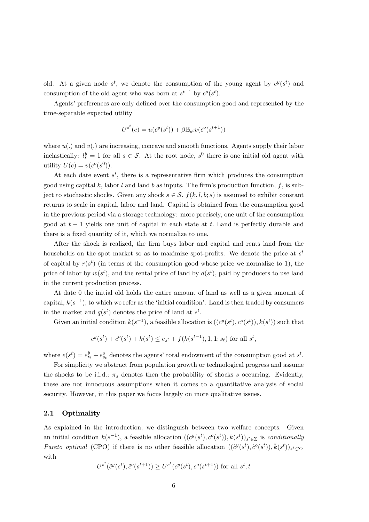old. At a given node  $s^t$ , we denote the consumption of the young agent by  $c^y(s^t)$  and consumption of the old agent who was born at  $s^{t-1}$  by  $c^o(s^t)$ .

Agents' preferences are only defined over the consumption good and represented by the time-separable expected utility

$$
U^{s^t}(c) = u(c^y(s^t)) + \beta \mathbb{E}_{s^t} v(c^o(s^{t+1}))
$$

where  $u(.)$  and  $v(.)$  are increasing, concave and smooth functions. Agents supply their labor inelastically:  $l_s^y = 1$  for all  $s \in S$ . At the root node,  $s^0$  there is one initial old agent with utility  $U(c) = v(c^o(s^0)).$ 

At each date event  $s^t$ , there is a representative firm which produces the consumption good using capital k, labor l and land b as inputs. The firm's production function, f, is subject to stochastic shocks. Given any shock  $s \in \mathcal{S}$ ,  $f(k, l, b; s)$  is assumed to exhibit constant returns to scale in capital, labor and land. Capital is obtained from the consumption good in the previous period via a storage technology: more precisely, one unit of the consumption good at  $t-1$  yields one unit of capital in each state at t. Land is perfectly durable and there is a fixed quantity of it, which we normalize to one.

After the shock is realized, the firm buys labor and capital and rents land from the households on the spot market so as to maximize spot-profits. We denote the price at  $s^t$ of capital by  $r(s^t)$  (in terms of the consumption good whose price we normalize to 1), the price of labor by  $w(s^t)$ , and the rental price of land by  $d(s^t)$ , paid by producers to use land in the current production process.

At date 0 the initial old holds the entire amount of land as well as a given amount of capital,  $k(s^{-1})$ , to which we refer as the 'initial condition'. Land is then traded by consumers in the market and  $q(s^t)$  denotes the price of land at  $s^t$ .

Given an initial condition  $k(s^{-1})$ , a feasible allocation is  $((c^y(s^t), c^o(s^t)), k(s^t))$  such that

$$
c^{y}(s^{t}) + c^{o}(s^{t}) + k(s^{t}) \le e_{s^{t}} + f(k(s^{t-1}), 1, 1; s_{t})
$$
 for all  $s^{t}$ ,

where  $e(s^t) = e_{s_t}^y + e_{s_t}^o$  denotes the agents' total endowment of the consumption good at  $s^t$ .

For simplicity we abstract from population growth or technological progress and assume the shocks to be i.i.d.;  $\pi_s$  denotes then the probability of shocks s occurring. Evidently, these are not innocuous assumptions when it comes to a quantitative analysis of social security. However, in this paper we focus largely on more qualitative issues.

#### $2.1$ Optimality

As explained in the introduction, we distinguish between two welfare concepts. Given an initial condition  $k(s^{-1})$ , a feasible allocation  $((c^y(s^t), c^o(s^t)), k(s^t))_{s^t \in \Sigma}$  is *conditionally Pareto optimal* (CPO) if there is no other feasible allocation  $((\tilde{c}^y(s^t), \tilde{c}^o(s^t)), \tilde{k}(s^t))_{s^t \in \Sigma}$ with

$$
U^{s^t}(\tilde{c}^y(s^t), \tilde{c}^o(s^{t+1})) \ge U^{s^t}(c^y(s^t), c^o(s^{t+1}))
$$
 for all  $s^t, t$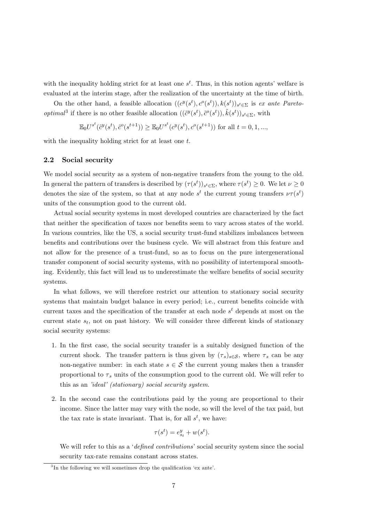with the inequality holding strict for at least one  $s^t$ . Thus, in this notion agents' welfare is evaluated at the interim stage, after the realization of the uncertainty at the time of birth.

On the other hand, a feasible allocation  $((c^y(s^t), c^o(s^t)), k(s^t))_{s^t \in \Sigma}$  is ex ante Pareto*optimal*<sup>3</sup> if there is no other feasible allocation  $((\tilde{c}^y(s^t), \tilde{c}^o(s^t)), \tilde{k}(s^t))_{s^t \in \Sigma}$ , with

$$
\mathbb{E}_0 U^{s^t}(\tilde{c}^y(s^t), \tilde{c}^o(s^{t+1})) \ge \mathbb{E}_0 U^{s^t}({c}^y(s^t), {c}^o(s^{t+1})) \text{ for all } t = 0, 1, ...,
$$

with the inequality holding strict for at least one t.

#### $2.2$ Social security

We model social security as a system of non-negative transfers from the young to the old. In general the pattern of transfers is described by  $(\tau(s^t))_{s^t \in \Sigma}$ , where  $\tau(s^t) \geq 0$ . We let  $\nu \geq 0$ denotes the size of the system, so that at any node  $s^t$  the current young transfers  $\nu\tau(s^t)$ units of the consumption good to the current old.

Actual social security systems in most developed countries are characterized by the fact that neither the specification of taxes nor benefits seem to vary across states of the world. In various countries, like the US, a social security trust-fund stabilizes imbalances between benefits and contributions over the business cycle. We will abstract from this feature and not allow for the presence of a trust-fund, so as to focus on the pure intergenerational transfer component of social security systems, with no possibility of intertemporal smoothing. Evidently, this fact will lead us to underestimate the welfare benefits of social security systems.

In what follows, we will therefore restrict our attention to stationary social security systems that maintain budget balance in every period; i.e., current benefits coincide with current taxes and the specification of the transfer at each node  $s<sup>t</sup>$  depends at most on the current state  $s_t$ , not on past history. We will consider three different kinds of stationary social security systems:

- 1. In the first case, the social security transfer is a suitably designed function of the current shock. The transfer pattern is thus given by  $(\tau_s)_{s \in \mathcal{S}}$ , where  $\tau_s$  can be any non-negative number: in each state  $s \in \mathcal{S}$  the current young makes then a transfer proportional to  $\tau_s$  units of the consumption good to the current old. We will refer to this as an 'ideal' (stationary) social security system.
- 2. In the second case the contributions paid by the young are proportional to their income. Since the latter may vary with the node, so will the level of the tax paid, but the tax rate is state invariant. That is, for all  $s^t$ , we have:

$$
\tau(s^t) = e_{s_t}^y + w(s^t).
$$

We will refer to this as a '*defined contributions*' social security system since the social security tax-rate remains constant across states.

 ${}^{3}$ In the following we will sometimes drop the qualification 'ex ante'.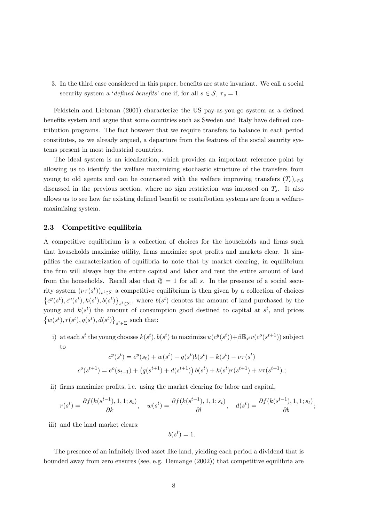3. In the third case considered in this paper, benefits are state invariant. We call a social security system a 'defined benefits' one if, for all  $s \in \mathcal{S}, \tau_s = 1$ .

Feldstein and Liebman (2001) characterize the US pay-as-you-go system as a defined benefits system and argue that some countries such as Sweden and Italy have defined contribution programs. The fact however that we require transfers to balance in each period constitutes, as we already argued, a departure from the features of the social security systems present in most industrial countries.

The ideal system is an idealization, which provides an important reference point by allowing us to identify the welfare maximizing stochastic structure of the transfers from young to old agents and can be contrasted with the welfare improving transfers  $(T_s)_{s\in\mathcal{S}}$ discussed in the previous section, where no sign restriction was imposed on  $T_s$ . It also allows us to see how far existing defined benefit or contribution systems are from a welfaremaximizing system.

#### $2.3$ Competitive equilibria

A competitive equilibrium is a collection of choices for the households and firms such that households maximize utility, firms maximize spot profits and markets clear. It simplifies the characterization of equilibria to note that by market clearing, in equilibrium the firm will always buy the entire capital and labor and rent the entire amount of land from the households. Recall also that  $l_s^y = 1$  for all s. In the presence of a social security system  $(\nu \tau(s^t))_{s^t \in \Sigma}$  a competitive equilibrium is then given by a collection of choices  $\{c^y(s^t), c^o(s^t), k(s^t), b(s^t)\}_{s^t \in \Sigma}$ , where  $b(s^t)$  denotes the amount of land purchased by the young and  $k(s^t)$  the amount of consumption good destined to capital at  $s^t$ , and prices  $\{w(s^t), r(s^t), q(s^t), d(s^t)\}\,\{s^t \in \Sigma}$  such that:

i) at each s<sup>t</sup> the young chooses  $k(s^t)$ ,  $b(s^t)$  to maximize  $u(c^y(s^t)) + \beta \mathbb{E}_{s^t} v(c^o(s^{t+1}))$  subject to

$$
c^{y}(s^{t}) = e^{y}(s_{t}) + w(s^{t}) - q(s^{t})b(s^{t}) - k(s^{t}) - \nu\tau(s^{t})
$$

$$
c^{o}(s^{t+1}) = e^{o}(s_{t+1}) + (q(s^{t+1}) + d(s^{t+1}))b(s^{t}) + k(s^{t})r(s^{t+1}) + \nu\tau(s^{t+1});
$$

ii) firms maximize profits, i.e. using the market clearing for labor and capital,

$$
r(s^t) = \frac{\partial f(k(s^{t-1}), 1, 1; s_t)}{\partial k}, \quad w(s^t) = \frac{\partial f(k(s^{t-1}), 1, 1; s_t)}{\partial l}, \quad d(s^t) = \frac{\partial f(k(s^{t-1}), 1, 1; s_t)}{\partial b}
$$

iii) and the land market clears:

$$
b(s^t) = 1.
$$

The presence of an infinitely lived asset like land, yielding each period a dividend that is bounded away from zero ensures (see, e.g. Demange (2002)) that competitive equilibria are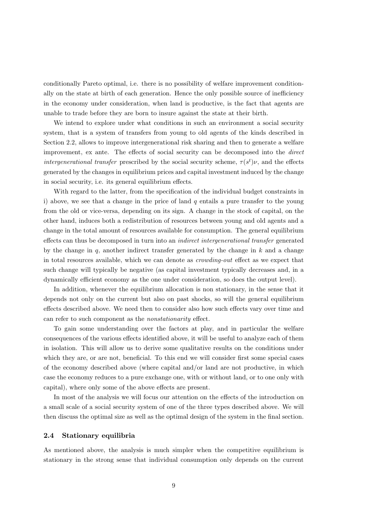conditionally Pareto optimal, i.e. there is no possibility of welfare improvement conditionally on the state at birth of each generation. Hence the only possible source of inefficiency in the economy under consideration, when land is productive, is the fact that agents are unable to trade before they are born to insure against the state at their birth.

We intend to explore under what conditions in such an environment a social security system, that is a system of transfers from young to old agents of the kinds described in Section 2.2, allows to improve intergenerational risk sharing and then to generate a welfare improvement, ex ante. The effects of social security can be decomposed into the *direct intergenerational transfer* prescribed by the social security scheme,  $\tau(s^t)\nu$ , and the effects generated by the changes in equilibrium prices and capital investment induced by the change in social security, i.e. its general equilibrium effects.

With regard to the latter, from the specification of the individual budget constraints in i) above, we see that a change in the price of land  $q$  entails a pure transfer to the young from the old or vice-versa, depending on its sign. A change in the stock of capital, on the other hand, induces both a redistribution of resources between young and old agents and a change in the total amount of resources available for consumption. The general equilibrium effects can thus be decomposed in turn into an *indirect intergenerational transfer* generated by the change in  $q$ , another indirect transfer generated by the change in  $k$  and a change in total resources available, which we can denote as *crowding-out* effect as we expect that such change will typically be negative (as capital investment typically decreases and, in a dynamically efficient economy as the one under consideration, so does the output level).

In addition, whenever the equilibrium allocation is non stationary, in the sense that it depends not only on the current but also on past shocks, so will the general equilibrium effects described above. We need then to consider also how such effects vary over time and can refer to such component as the *nonstationarity* effect.

To gain some understanding over the factors at play, and in particular the welfare consequences of the various effects identified above, it will be useful to analyze each of them in isolation. This will allow us to derive some qualitative results on the conditions under which they are, or are not, beneficial. To this end we will consider first some special cases of the economy described above (where capital and/or land are not productive, in which case the economy reduces to a pure exchange one, with or without land, or to one only with capital), where only some of the above effects are present.

In most of the analysis we will focus our attention on the effects of the introduction on a small scale of a social security system of one of the three types described above. We will then discuss the optimal size as well as the optimal design of the system in the final section.

#### Stationary equilibria  $2.4$

As mentioned above, the analysis is much simpler when the competitive equilibrium is stationary in the strong sense that individual consumption only depends on the current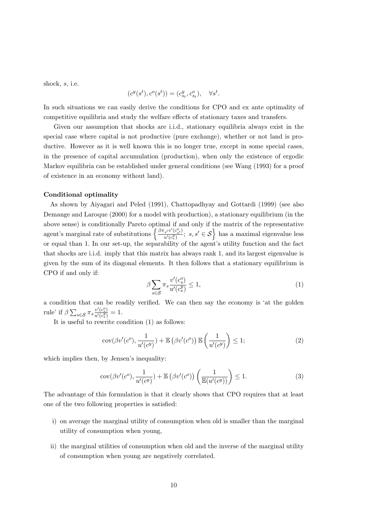shock,  $s$ , i.e.

$$
(c^y(s^t), c^o(s^t)) = (c^y_{s_t}, c^o_{s_t}), \quad \forall s^t.
$$

In such situations we can easily derive the conditions for CPO and ex ante optimality of competitive equilibria and study the welfare effects of stationary taxes and transfers.

Given our assumption that shocks are i.i.d., stationary equilibria always exist in the special case where capital is not productive (pure exchange), whether or not land is productive. However as it is well known this is no longer true, except in some special cases, in the presence of capital accumulation (production), when only the existence of ergodic Markov equilibria can be established under general conditions (see Wang (1993) for a proof of existence in an economy without land).

# Conditional optimality

As shown by Aiyagari and Peled (1991), Chattopadhyay and Gottardi (1999) (see also Demange and Laroque (2000) for a model with production), a stationary equilibrium (in the above sense) is conditionally Pareto optimal if and only if the matrix of the representative agent's marginal rate of substitutions  $\left\{\frac{\beta \pi_{s'} v'(c_{s'}^o)}{u'(c_s^y)}; s, s' \in S\right\}$  has a maximal eigenvalue less<br>or equal than 1. In our set-up, the separability of the agent's utility function and the fact that shocks are i.i.d. imply that this matrix has always rank 1, and its largest eigenvalue is given by the sum of its diagonal elements. It then follows that a stationary equilibrium is CPO if and only if:

$$
\beta \sum_{s \in \mathcal{S}} \pi_s \frac{v'(c_s^o)}{u'(c_s^y)} \le 1,\tag{1}
$$

a condition that can be readily verified. We can then say the economy is 'at the golden rule' if  $\beta \sum_{s \in \mathcal{S}} \pi_s \frac{v'(c_s^o)}{u'(c_s^y)} = 1.$ 

It is useful to rewrite condition  $(1)$  as follows:

$$
cov(\beta v'(c^o), \frac{1}{u'(c^y)}) + \mathbb{E}\left(\beta v'(c^o)\right) \mathbb{E}\left(\frac{1}{u'(c^y)}\right) \le 1; \tag{2}
$$

which implies then, by Jensen's inequality:

$$
cov(\beta v'(c^o), \frac{1}{u'(c^y)}) + \mathbb{E}\left(\beta v'(c^o)\right)\left(\frac{1}{\mathbb{E}(u'(c^y))}\right) \le 1.
$$
\n(3)

The advantage of this formulation is that it clearly shows that CPO requires that at least one of the two following properties is satisfied:

- i) on average the marginal utility of consumption when old is smaller than the marginal utility of consumption when young,
- ii) the marginal utilities of consumption when old and the inverse of the marginal utility of consumption when young are negatively correlated.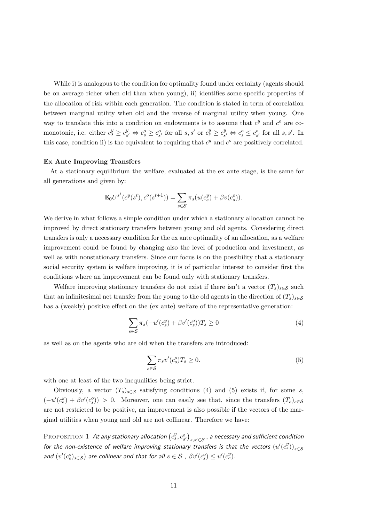While i) is analogous to the condition for optimality found under certainty (agents should be on average richer when old than when young), ii) identifies some specific properties of the allocation of risk within each generation. The condition is stated in term of correlation between marginal utility when old and the inverse of marginal utility when young. One way to translate this into a condition on endowments is to assume that  $c^y$  and  $c^o$  are comonotonic, i.e. either  $c_s^y \geq c_{s'}^y \Leftrightarrow c_s^o \geq c_{s'}^o$  for all  $s, s'$  or  $c_s^y \geq c_{s'}^y \Leftrightarrow c_s^o \leq c_{s'}^o$  for all  $s, s'$ . In this case, condition ii) is the equivalent to requiring that  $c^y$  and  $c^o$  are positively correlated.

# Ex Ante Improving Transfers

At a stationary equilibrium the welfare, evaluated at the ex ante stage, is the same for all generations and given by:

$$
\mathbb{E}_0 U^{s^t} (c^y(s^t), c^o(s^{t+1})) = \sum_{s \in \mathcal{S}} \pi_s (u(c_s^y) + \beta v(c_s^o)).
$$

We derive in what follows a simple condition under which a stationary allocation cannot be improved by direct stationary transfers between young and old agents. Considering direct transfers is only a necessary condition for the ex ante optimality of an allocation, as a welfare improvement could be found by changing also the level of production and investment, as well as with nonstationary transfers. Since our focus is on the possibility that a stationary social security system is welfare improving, it is of particular interest to consider first the conditions where an improvement can be found only with stationary transfers.

Welfare improving stationary transfers do not exist if there isn't a vector  $(T_s)_{s \in \mathcal{S}}$  such that an infinitesimal net transfer from the young to the old agents in the direction of  $(T_s)_{s\in\mathcal{S}}$ has a (weakly) positive effect on the (ex ante) welfare of the representative generation:

$$
\sum_{s \in \mathcal{S}} \pi_s(-u'(c_s^y) + \beta v'(c_s^o))T_s \ge 0
$$
\n(4)

as well as on the agents who are old when the transfers are introduced:

$$
\sum_{s \in \mathcal{S}} \pi_s v'(c_s^o) T_s \ge 0. \tag{5}
$$

with one at least of the two inequalities being strict.

Obviously, a vector  $(T_s)_{s \in \mathcal{S}}$  satisfying conditions (4) and (5) exists if, for some s,  $(-u'(c_s^y) + \beta v'(c_s^o)) > 0$ . Moreover, one can easily see that, since the transfers  $(T_s)_{s \in \mathcal{S}}$ are not restricted to be positive, an improvement is also possible if the vectors of the marginal utilities when young and old are not collinear. Therefore we have:

PROPOSITION 1 At any stationary allocation  $(c_s^y, c_{s'}^o)_{s,s' \in S}$ , a necessary and sufficient condition for the non-existence of welfare improving stationary transfers is that the vectors  $(u'(c_s^y))_{s \in S}$ and  $(v'(c_s^o)_{s\in\mathcal{S}})$  are collinear and that for all  $s\in\mathcal{S}$ ,  $\beta v'(c_s^o) \leq u'(c_s^y)$ .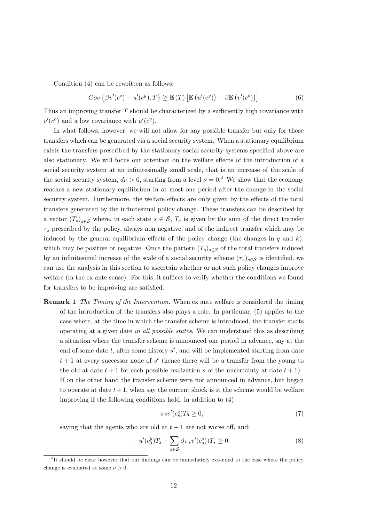Condition  $(4)$  can be rewritten as follows:

$$
Cov\left\{\beta v'(c^o) - u'(c^y), T\right\} \ge \mathbb{E}\left(T\right) \left[\mathbb{E}\left(u'(c^y)\right) - \beta \mathbb{E}\left(v'(c^o)\right)\right]
$$
(6)

Thus an improving transfer  $T$  should be characterized by a sufficiently high covariance with  $v'(c^o)$  and a low covariance with  $u'(c^y)$ .

In what follows, however, we will not allow for any possible transfer but only for those transfers which can be generated via a social security system. When a stationary equilibrium exists the transfers prescribed by the stationary social security systems specified above are also stationary. We will focus our attention on the welfare effects of the introduction of a social security system at an infinitesimally small scale, that is an increase of the scale of the social security system,  $d\nu > 0$ , starting from a level  $\nu = 0.4$  We show that the economy reaches a new stationary equilibrium in at most one period after the change in the social security system. Furthermore, the welfare effects are only given by the effects of the total transfers generated by the infinitesimal policy change. These transfers can be described by a vector  $(T_s)_{s \in \mathcal{S}}$  where, in each state  $s \in \mathcal{S}$ ,  $T_s$  is given by the sum of the direct transfer  $\tau_s$  prescribed by the policy, always non negative, and of the indirect transfer which may be induced by the general equilibrium effects of the policy change (the changes in  $q$  and  $k$ ), which may be positive or negative. Once the pattern  $(T_s)_{s \in \mathcal{S}}$  of the total transfers induced by an infinitesimal increase of the scale of a social security scheme  $(\tau_s)_{s\in\mathcal{S}}$  is identified, we can use the analysis in this section to ascertain whether or not such policy changes improve welfare (in the ex ante sense). For this, it suffices to verify whether the conditions we found for transfers to be improving are satisfied.

**Remark 1** The Timing of the Intervention. When ex ante welfare is considered the timing of the introduction of the transfers also plays a role. In particular,  $(5)$  applies to the case where, at the time in which the transfer scheme is introduced, the transfer starts operating at a given date in all possible states. We can understand this as describing a situation where the transfer scheme is announced one period in advance, say at the end of some date t, after some history  $s^t$ , and will be implemented starting from date  $t+1$  at every successor node of  $s^t$  (hence there will be a transfer from the young to the old at date  $t+1$  for each possible realization s of the uncertainty at date  $t+1$ . If on the other hand the transfer scheme were not announced in advance, but began to operate at date  $t+1$ , when say the current shock is  $\bar{s}$ , the scheme would be welfare improving if the following conditions hold, in addition to  $(4)$ :

$$
\pi_{\bar{s}}v'(c_{\bar{s}}^o)T_{\bar{s}} \ge 0,\tag{7}
$$

saying that the agents who are old at  $t + 1$  are not worse off, and:

$$
-u'(c_s^y)T_{\bar{s}} + \sum_{s \in \mathcal{S}} \beta \pi_s v'(c_s^o) T_s \ge 0.
$$
\n
$$
(8)
$$

<sup>&</sup>lt;sup>4</sup>It should be clear however that our findings can be immediately extended to the case where the policy change is evaluated at some  $\nu > 0$ .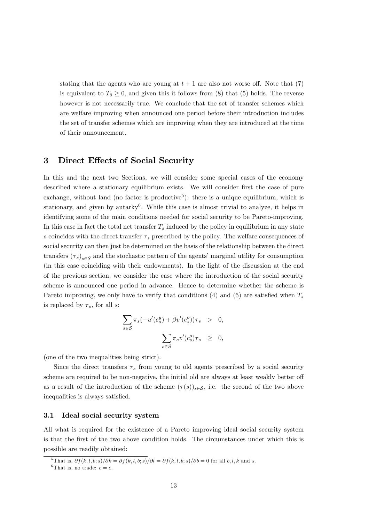stating that the agents who are young at  $t + 1$  are also not worse off. Note that (7) is equivalent to  $T_{\overline{s}} \geq 0$ , and given this it follows from (8) that (5) holds. The reverse however is not necessarily true. We conclude that the set of transfer schemes which are welfare improving when announced one period before their introduction includes the set of transfer schemes which are improving when they are introduced at the time of their announcement.

#### 3 Direct Effects of Social Security

In this and the next two Sections, we will consider some special cases of the economy described where a stationary equilibrium exists. We will consider first the case of pure exchange, without land (no factor is productive<sup>5</sup>): there is a unique equilibrium, which is stationary, and given by autarky<sup>6</sup>. While this case is almost trivial to analyze, it helps in identifying some of the main conditions needed for social security to be Pareto-improving. In this case in fact the total net transfer  $T_s$  induced by the policy in equilibrium in any state s coincides with the direct transfer  $\tau_s$  prescribed by the policy. The welfare consequences of social security can then just be determined on the basis of the relationship between the direct transfers  $(\tau_s)_{s \in S}$  and the stochastic pattern of the agents' marginal utility for consumption (in this case coinciding with their endowments). In the light of the discussion at the end of the previous section, we consider the case where the introduction of the social security scheme is announced one period in advance. Hence to determine whether the scheme is Pareto improving, we only have to verify that conditions (4) and (5) are satisfied when  $T_s$ is replaced by  $\tau_s$ , for all s:

$$
\sum_{s \in S} \pi_s(-u'(e_s^y) + \beta v'(e_s^o))\tau_s > 0,
$$
  

$$
\sum_{s \in S} \pi_s v'(e_s^o)\tau_s \ge 0,
$$

(one of the two inequalities being strict).

Since the direct transfers  $\tau_s$  from young to old agents prescribed by a social security scheme are required to be non-negative, the initial old are always at least weakly better off as a result of the introduction of the scheme  $(\tau(s))_{s\in\mathcal{S}}$ , i.e. the second of the two above inequalities is always satisfied.

#### $3.1$ Ideal social security system

All what is required for the existence of a Pareto improving ideal social security system is that the first of the two above condition holds. The circumstances under which this is possible are readily obtained:

<sup>&</sup>lt;sup>5</sup>That is,  $\partial f(k, l, b; s)/\partial k = \partial f(k, l, b; s)/\partial l = \partial f(k, l, b; s)/\partial b = 0$  for all  $b, l, k$  and s.

<sup>&</sup>lt;sup>6</sup>That is, no trade:  $c = e$ .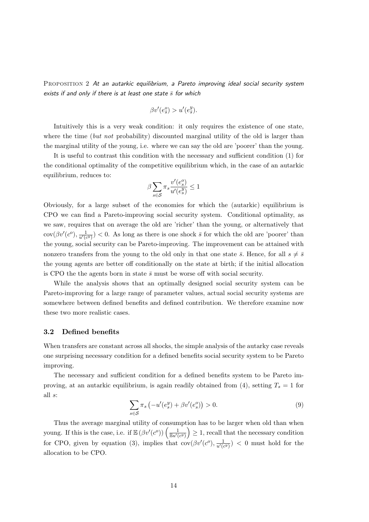PROPOSITION 2 At an autarkic equilibrium, a Pareto improving ideal social security system exists if and only if there is at least one state  $\overline{s}$  for which

$$
\beta v'(e_{\bar{s}}^o) > u'(e_{\bar{s}}^y).
$$

Intuitively this is a very weak condition: it only requires the existence of one state, where the time *(but not* probability) discounted marginal utility of the old is larger than the marginal utility of the young, i.e. where we can say the old are 'poorer' than the young.

It is useful to contrast this condition with the necessary and sufficient condition (1) for the conditional optimality of the competitive equilibrium which, in the case of an autarkic equilibrium, reduces to:

$$
\beta \sum_{s \in \mathcal{S}} \pi_s \frac{v'(e_s^o)}{u'(e_s^y)} \le 1
$$

Obviously, for a large subset of the economies for which the (autarkic) equilibrium is CPO we can find a Pareto-improving social security system. Conditional optimality, as we saw, requires that on average the old are 'richer' than the young, or alternatively that  $\text{cov}(\beta v'(c^o), \frac{1}{u'(c^y)}) < 0$ . As long as there is one shock  $\bar{s}$  for which the old are 'poorer' than the young, social security can be Pareto-improving. The improvement can be attained with nonzero transfers from the young to the old only in that one state  $\bar{s}$ . Hence, for all  $s \neq \bar{s}$ the young agents are better off conditionally on the state at birth; if the initial allocation is CPO the the agents born in state  $\bar{s}$  must be worse off with social security.

While the analysis shows that an optimally designed social security system can be Pareto-improving for a large range of parameter values, actual social security systems are somewhere between defined benefits and defined contribution. We therefore examine now these two more realistic cases.

#### $3.2$ Defined benefits

When transfers are constant across all shocks, the simple analysis of the autarky case reveals one surprising necessary condition for a defined benefits social security system to be Pareto improving.

The necessary and sufficient condition for a defined benefits system to be Pareto improving, at an autoric equilibrium, is again readily obtained from (4), setting  $T_s = 1$  for all  $s$ :

$$
\sum_{s \in \mathcal{S}} \pi_s \left( -u'(e_s^y) + \beta v'(e_s^o) \right) > 0. \tag{9}
$$

Thus the average marginal utility of consumption has to be larger when old than when young. If this is the case, i.e. if  $\mathbb{E}(\beta v'(c^o))\left(\frac{1}{\mathbb{E}u'(c^y)}\right) \geq 1$ , recall that the necessary condition<br>for CPO, given by equation (3), implies that  $cov(\beta v'(c^o), \frac{1}{u'(c^y)}) < 0$  must hold for the allocation to be CPO.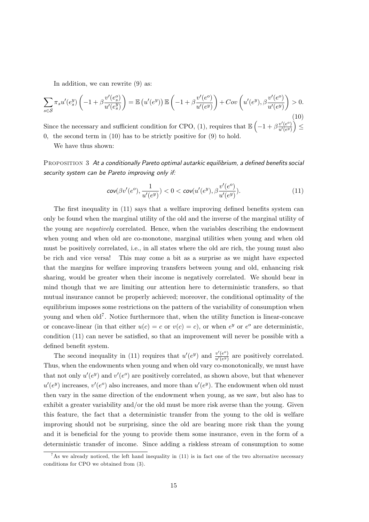In addition, we can rewrite  $(9)$  as:

$$
\sum_{s \in \mathcal{S}} \pi_s u'(e_s^y) \left( -1 + \beta \frac{v'(e_s^o)}{u'(e_s^y)} \right) = \mathbb{E} \left( u'(e^y) \right) \mathbb{E} \left( -1 + \beta \frac{v'(e^o)}{u'(e^y)} \right) + Cov \left( u'(e^y), \beta \frac{v'(e^o)}{u'(e^y)} \right) > 0. \tag{10}
$$

Since the necessary and sufficient condition for CPO, (1), requires that  $\mathbb{E}\left(-1+\beta \frac{v'(e^o)}{u'(e^y)}\right) \leq$ 0, the second term in  $(10)$  has to be strictly positive for  $(9)$  to hold.

We have thus shown:

PROPOSITION 3 At a conditionally Pareto optimal autarkic equilibrium, a defined benefits social security system can be Pareto improving only if:

$$
cov(\beta v'(e^o), \frac{1}{u'(e^y)}) < 0 < cov(u'(e^y), \beta \frac{v'(e^o)}{u'(e^y)}).
$$
 (11)

The first inequality in (11) says that a welfare improving defined benefits system can only be found when the marginal utility of the old and the inverse of the marginal utility of the young are *negatively* correlated. Hence, when the variables describing the endowment when young and when old are co-monotone, marginal utilities when young and when old must be positively correlated, i.e., in all states where the old are rich, the young must also be rich and vice versa! This may come a bit as a surprise as we might have expected that the margins for welfare improving transfers between young and old, enhancing risk sharing, would be greater when their income is negatively correlated. We should bear in mind though that we are limiting our attention here to deterministic transfers, so that mutual insurance cannot be properly achieved; moreover, the conditional optimality of the equilibrium imposes some restrictions on the pattern of the variability of consumption when young and when  $old<sup>7</sup>$ . Notice furthermore that, when the utility function is linear-concave or concave-linear (in that either  $u(c) = c$  or  $v(c) = c$ ), or when  $e^y$  or  $e^o$  are deterministic, condition (11) can never be satisfied, so that an improvement will never be possible with a defined benefit system.

The second inequality in (11) requires that  $u'(e^y)$  and  $\frac{v'(e^o)}{u'(e^y)}$  are positively correlated. Thus, when the endowments when young and when old vary co-monotonically, we must have that not only  $u'(e^y)$  and  $v'(e^o)$  are positively correlated, as shown above, but that whenever  $u'(e^y)$  increases,  $v'(e^o)$  also increases, and more than  $u'(e^y)$ . The endowment when old must then vary in the same direction of the endowment when young, as we saw, but also has to exhibit a greater variability and/or the old must be more risk averse than the young. Given this feature, the fact that a deterministic transfer from the young to the old is welfare improving should not be surprising, since the old are bearing more risk than the young and it is beneficial for the young to provide them some insurance, even in the form of a deterministic transfer of income. Since adding a riskless stream of consumption to some

<sup>&</sup>lt;sup>7</sup>As we already noticed, the left hand inequality in (11) is in fact one of the two alternative necessary conditions for CPO we obtained from  $(3)$ .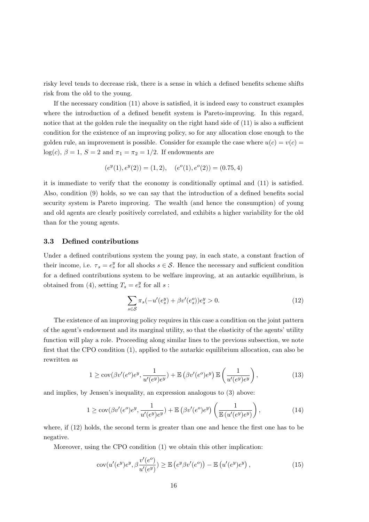risky level tends to decrease risk, there is a sense in which a defined benefits scheme shifts risk from the old to the young.

If the necessary condition  $(11)$  above is satisfied, it is indeed easy to construct examples where the introduction of a defined benefit system is Pareto-improving. In this regard, notice that at the golden rule the inequality on the right hand side of  $(11)$  is also a sufficient condition for the existence of an improving policy, so for any allocation close enough to the golden rule, an improvement is possible. Consider for example the case where  $u(c) = v(c)$  $log(c)$ ,  $\beta = 1$ ,  $S = 2$  and  $\pi_1 = \pi_2 = 1/2$ . If endowments are

$$
(e^y(1), e^y(2)) = (1, 2), \quad (e^o(1), e^o(2)) = (0.75, 4)
$$

it is immediate to verify that the economy is conditionally optimal and (11) is satisfied. Also, condition (9) holds, so we can say that the introduction of a defined benefits social security system is Pareto improving. The wealth (and hence the consumption) of young and old agents are clearly positively correlated, and exhibits a higher variability for the old than for the young agents.

#### $3.3$ Defined contributions

Under a defined contributions system the young pay, in each state, a constant fraction of their income, i.e.  $\tau_s = e_s^y$  for all shocks  $s \in \mathcal{S}$ . Hence the necessary and sufficient condition for a defined contributions system to be welfare improving, at an autarkic equilibrium, is obtained from (4), setting  $T_s = e_s^y$  for all s:

$$
\sum_{s \in S} \pi_s(-u'(e_s^y) + \beta v'(e_s^o))e_s^y > 0.
$$
\n(12)

The existence of an improving policy requires in this case a condition on the joint pattern of the agent's endowment and its marginal utility, so that the elasticity of the agents' utility function will play a role. Proceeding along similar lines to the previous subsection, we note first that the CPO condition (1), applied to the autarkic equilibrium allocation, can also be rewritten as

$$
1 \geq \operatorname{cov}(\beta v'(e^o)e^y, \frac{1}{u'(e^y)e^y}) + \mathbb{E}\left(\beta v'(e^o)e^y\right) \mathbb{E}\left(\frac{1}{u'(e^y)e^y}\right),\tag{13}
$$

and implies, by Jensen's inequality, an expression analogous to  $(3)$  above:

$$
1 \geq \operatorname{cov}(\beta v'(e^o)e^y, \frac{1}{u'(e^y)e^y}) + \mathbb{E}\left(\beta v'(e^o)e^y\right)\left(\frac{1}{\mathbb{E}\left(u'(e^y)e^y\right)}\right),\tag{14}
$$

where, if  $(12)$  holds, the second term is greater than one and hence the first one has to be negative.

Moreover, using the CPO condition (1) we obtain this other implication:

$$
cov(u'(e^y)e^y, \beta \frac{v'(e^o)}{u'(e^y)}) \ge \mathbb{E}\left(e^y \beta v'(e^o)\right) - \mathbb{E}\left(u'(e^y)e^y\right),\tag{15}
$$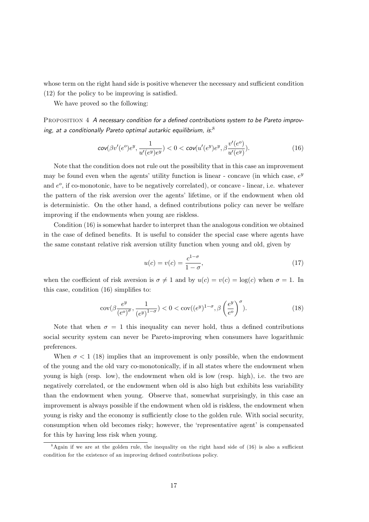whose term on the right hand side is positive whenever the necessary and sufficient condition  $(12)$  for the policy to be improving is satisfied.

We have proved so the following:

PROPOSITION 4 A necessary condition for a defined contributions system to be Pareto improving, at a conditionally Pareto optimal autarkic equilibrium, is. $8$ 

$$
\text{cov}(\beta v'(e^o)e^y, \frac{1}{u'(e^y)e^y}) < 0 < \text{cov}(u'(e^y)e^y, \beta \frac{v'(e^o)}{u'(e^y)}). \tag{16}
$$

Note that the condition does not rule out the possibility that in this case an improvement may be found even when the agents' utility function is linear - concave (in which case,  $e^y$ ) and  $e^o$ , if co-monotonic, have to be negatively correlated), or concave - linear, i.e. whatever the pattern of the risk aversion over the agents' lifetime, or if the endowment when old is deterministic. On the other hand, a defined contributions policy can never be welfare improving if the endowments when young are riskless.

Condition (16) is somewhat harder to interpret than the analogous condition we obtained in the case of defined benefits. It is useful to consider the special case where agents have the same constant relative risk aversion utility function when young and old, given by

$$
u(c) = v(c) = \frac{c^{1-\sigma}}{1-\sigma},\tag{17}
$$

when the coefficient of risk aversion is  $\sigma \neq 1$  and by  $u(c) = v(c) = \log(c)$  when  $\sigma = 1$ . In this case, condition  $(16)$  simplifies to:

$$
cov(\beta \frac{e^y}{(e^o)^\sigma}, \frac{1}{(e^y)^{1-\sigma}}) < 0 < cov((e^y)^{1-\sigma}, \beta \left(\frac{e^y}{e^o}\right)^\sigma). \tag{18}
$$

Note that when  $\sigma = 1$  this inequality can never hold, thus a defined contributions social security system can never be Pareto-improving when consumers have logarithmic preferences.

When  $\sigma < 1$  (18) implies that an improvement is only possible, when the endowment of the young and the old vary co-monotonically, if in all states where the endowment when young is high (resp. low), the endowment when old is low (resp. high), i.e. the two are negatively correlated, or the endowment when old is also high but exhibits less variability than the endowment when young. Observe that, somewhat surprisingly, in this case an improvement is always possible if the endowment when old is riskless, the endowment when young is risky and the economy is sufficiently close to the golden rule. With social security, consumption when old becomes risky; however, the 'representative agent' is compensated for this by having less risk when young.

 ${}^8$ Again if we are at the golden rule, the inequality on the right hand side of (16) is also a sufficient condition for the existence of an improving defined contributions policy.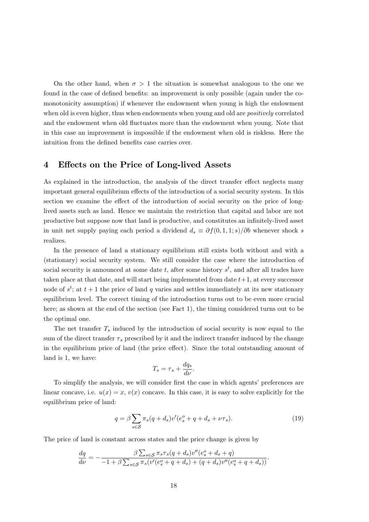On the other hand, when  $\sigma > 1$  the situation is somewhat analogous to the one we found in the case of defined benefits: an improvement is only possible (again under the comonotonicity assumption) if whenever the endowment when young is high the endowment when old is even higher, thus when endowments when young and old are *positively* correlated and the endowment when old fluctuates more than the endowment when young. Note that in this case an improvement is impossible if the endowment when old is riskless. Here the intuition from the defined benefits case carries over.

#### Effects on the Price of Long-lived Assets  $\boldsymbol{4}$

As explained in the introduction, the analysis of the direct transfer effect neglects many important general equilibrium effects of the introduction of a social security system. In this section we examine the effect of the introduction of social security on the price of longlived assets such as land. Hence we maintain the restriction that capital and labor are not productive but suppose now that land is productive, and constitutes an infinitely-lived asset in unit net supply paying each period a dividend  $d_s \equiv \partial f(0,1,1;s)/\partial b$  whenever shock s realizes.

In the presence of land a stationary equilibrium still exists both without and with a (stationary) social security system. We still consider the case where the introduction of social security is announced at some date t, after some history  $s<sup>t</sup>$ , and after all trades have taken place at that date, and will start being implemented from date  $t+1$ , at every successor node of  $s^t$ ; at  $t+1$  the price of land q varies and settles immediately at its new stationary equilibrium level. The correct timing of the introduction turns out to be even more crucial here; as shown at the end of the section (see Fact 1), the timing considered turns out to be the optimal one.

The net transfer  $T_s$  induced by the introduction of social security is now equal to the sum of the direct transfer  $\tau_s$  prescribed by it and the indirect transfer induced by the change in the equilibrium price of land (the price effect). Since the total outstanding amount of land is 1, we have:

$$
T_s = \tau_s + \frac{dq_s}{d\nu}.
$$

To simplify the analysis, we will consider first the case in which agents' preferences are linear concave, i.e.  $u(x) = x$ ,  $v(x)$  concave. In this case, it is easy to solve explicitly for the equilibrium price of land:

$$
q = \beta \sum_{s \in \mathcal{S}} \pi_s (q + d_s) v'(e_s^o + q + d_s + \nu \tau_s). \tag{19}
$$

The price of land is constant across states and the price change is given by

$$
\frac{dq}{d\nu} = -\frac{\beta \sum_{s \in \mathcal{S}} \pi_s \tau_s (q + d_s) v''(e_s^o + d_s + q)}{-1 + \beta \sum_{s \in \mathcal{S}} \pi_s (v'(e_s^o + q + d_s) + (q + d_s) v''(e_s^o + q + d_s))}
$$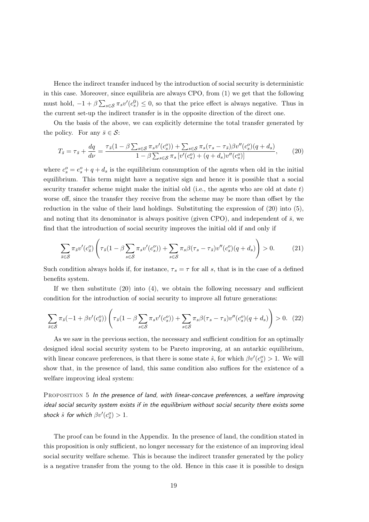Hence the indirect transfer induced by the introduction of social security is deterministic in this case. Moreover, since equilibria are always CPO, from  $(1)$  we get that the following must hold,  $-1 + \beta \sum_{s \in \mathcal{S}} \pi_s v'(c_s^0) \leq 0$ , so that the price effect is always negative. Thus in the current set-up the indirect transfer is in the opposite direction of the direct one.

On the basis of the above, we can explicitly determine the total transfer generated by the policy. For any  $\bar{s} \in \mathcal{S}$ :

$$
T_{\bar{s}} = \tau_{\bar{s}} + \frac{dq}{d\nu} = \frac{\tau_{\bar{s}}(1 - \beta \sum_{s \in \mathcal{S}} \pi_s v'(c_s^o)) + \sum_{s \in \mathcal{S}} \pi_s(\tau_s - \tau_{\bar{s}}) \beta v''(c_s^o)(q + d_s)}{1 - \beta \sum_{s \in \mathcal{S}} \pi_s [v'(c_s^o) + (q + d_s)v''(c_s^o)]},
$$
(20)

where  $c_s^o = e_s^o + q + d_s$  is the equilibrium consumption of the agents when old in the initial equilibrium. This term might have a negative sign and hence it is possible that a social security transfer scheme might make the initial old (i.e., the agents who are old at date  $t$ ) worse off, since the transfer they receive from the scheme may be more than offset by the reduction in the value of their land holdings. Substituting the expression of  $(20)$  into  $(5)$ , and noting that its denominator is always positive (given CPO), and independent of  $\bar{s}$ , we find that the introduction of social security improves the initial old if and only if

$$
\sum_{\bar{s}\in\mathcal{S}}\pi_{\bar{s}}v'(c_{\bar{s}}^o)\left(\tau_{\bar{s}}(1-\beta\sum_{s\in\mathcal{S}}\pi_{s}v'(c_{s}^o))+\sum_{s\in\mathcal{S}}\pi_{s}\beta(\tau_{s}-\tau_{\bar{s}})v''(c_{s}^o)(q+d_{s})\right)>0.\tag{21}
$$

Such condition always holds if, for instance,  $\tau_s = \tau$  for all s, that is in the case of a defined benefits system.

If we then substitute  $(20)$  into  $(4)$ , we obtain the following necessary and sufficient condition for the introduction of social security to improve all future generations:

$$
\sum_{\bar{s}\in\mathcal{S}}\pi_{\bar{s}}(-1+\beta v'(c_{\bar{s}}^o))\left(\tau_{\bar{s}}(1-\beta\sum_{s\in\mathcal{S}}\pi_{s}v'(c_{s}^o)) + \sum_{s\in\mathcal{S}}\pi_{s}\beta(\tau_{s}-\tau_{\bar{s}})v''(c_{s}^o)(q+d_{s})\right) > 0.
$$
 (22)

As we saw in the previous section, the necessary and sufficient condition for an optimally designed ideal social security system to be Pareto improving, at an autarkic equilibrium, with linear concave preferences, is that there is some state  $\hat{s}$ , for which  $\beta v'(c_2^o) > 1$ . We will show that, in the presence of land, this same condition also suffices for the existence of a welfare improving ideal system:

PROPOSITION 5 In the presence of land, with linear-concave preferences, a welfare improving ideal social security system exists if in the equilibrium without social security there exists some shock  $\hat{s}$  for which  $\beta v'(c^o_{\hat{s}}) > 1$ .

The proof can be found in the Appendix. In the presence of land, the condition stated in this proposition is only sufficient, no longer necessary for the existence of an improving ideal social security welfare scheme. This is because the indirect transfer generated by the policy is a negative transfer from the young to the old. Hence in this case it is possible to design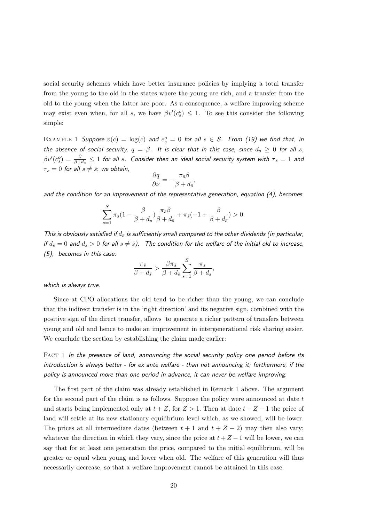social security schemes which have better insurance policies by implying a total transfer from the young to the old in the states where the young are rich, and a transfer from the old to the young when the latter are poor. As a consequence, a welfare improving scheme may exist even when, for all s, we have  $\beta v'(c_s^o) \leq 1$ . To see this consider the following simple:

EXAMPLE 1 Suppose  $v(c) = \log(c)$  and  $e_s^o = 0$  for all  $s \in S$ . From (19) we find that, in the absence of social security,  $q = \beta$ . It is clear that in this case, since  $d_s \geq 0$  for all s,  $\beta v'(c_s^o) = \frac{\beta}{\beta+d_s} \le 1$  for all s. Consider then an ideal social security system with  $\tau_{\bar{s}} = 1$  and  $\tau_s = 0$  for all  $s \neq \overline{s}$ ; we obtain,

$$
\frac{\partial q}{\partial \nu} = -\frac{\pi_{\bar{s}}\beta}{\beta + d_{\bar{s}}},
$$

and the condition for an improvement of the representative generation, equation  $(4)$ , becomes

$$
\sum_{s=1}^S \pi_s(1-\frac{\beta}{\beta+d_s})\frac{\pi_{\bar{s}}\beta}{\beta+d_{\bar{s}}}+\pi_{\bar{s}}(-1+\frac{\beta}{\beta+d_{\bar{s}}})>0.
$$

This is obviously satisfied if  $d_{\bar{s}}$  is sufficiently small compared to the other dividends (in particular, if  $d_{\overline{s}} = 0$  and  $d_s > 0$  for all  $s \neq \overline{s}$ ). The condition for the welfare of the initial old to increase,  $(5)$ , becomes in this case:

$$
\frac{\pi_{\bar{s}}}{\beta + d_{\bar{s}}} > \frac{\beta \pi_{\bar{s}}}{\beta + d_{\bar{s}}} \sum_{s=1}^{S} \frac{\pi_s}{\beta + d_s},
$$

which is always true.

Since at CPO allocations the old tend to be richer than the young, we can conclude that the indirect transfer is in the 'right direction' and its negative sign, combined with the positive sign of the direct transfer, allows to generate a richer pattern of transfers between young and old and hence to make an improvement in intergenerational risk sharing easier. We conclude the section by establishing the claim made earlier:

FACT 1 In the presence of land, announcing the social security policy one period before its introduction is always better - for ex ante welfare - than not announcing it; furthermore, if the policy is announced more than one period in advance, it can never be welfare improving.

The first part of the claim was already established in Remark 1 above. The argument for the second part of the claim is as follows. Suppose the policy were announced at date  $t$ and starts being implemented only at  $t + Z$ , for  $Z > 1$ . Then at date  $t + Z - 1$  the price of land will settle at its new stationary equilibrium level which, as we showed, will be lower. The prices at all intermediate dates (between  $t + 1$  and  $t + Z - 2$ ) may then also vary; whatever the direction in which they vary, since the price at  $t + Z - 1$  will be lower, we can say that for at least one generation the price, compared to the initial equilibrium, will be greater or equal when young and lower when old. The welfare of this generation will thus necessarily decrease, so that a welfare improvement cannot be attained in this case.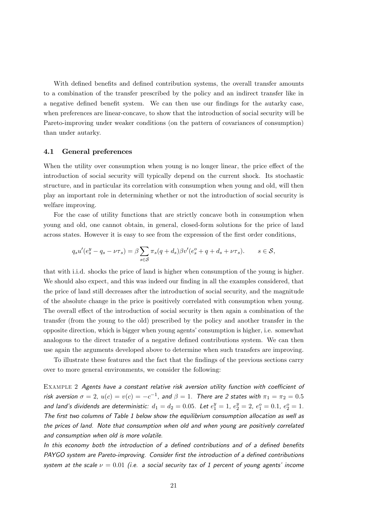With defined benefits and defined contribution systems, the overall transfer amounts to a combination of the transfer prescribed by the policy and an indirect transfer like in a negative defined benefit system. We can then use our findings for the autority case, when preferences are linear-concave, to show that the introduction of social security will be Pareto-improving under weaker conditions (on the pattern of covariances of consumption) than under autarky.

#### General preferences 4.1

When the utility over consumption when young is no longer linear, the price effect of the introduction of social security will typically depend on the current shock. Its stochastic structure, and in particular its correlation with consumption when young and old, will then play an important role in determining whether or not the introduction of social security is welfare improving.

For the case of utility functions that are strictly concave both in consumption when young and old, one cannot obtain, in general, closed-form solutions for the price of land across states. However it is easy to see from the expression of the first order conditions,

$$
q_s u'(e_s^y - q_s - \nu \tau_s) = \beta \sum_{s \in \mathcal{S}} \pi_s (q + d_s) \beta v'(e_s^o + q + d_s + \nu \tau_s). \qquad s \in \mathcal{S},
$$

that with i.i.d. shocks the price of land is higher when consumption of the young is higher. We should also expect, and this was indeed our finding in all the examples considered, that the price of land still decreases after the introduction of social security, and the magnitude of the absolute change in the price is positively correlated with consumption when young. The overall effect of the introduction of social security is then again a combination of the transfer (from the young to the old) prescribed by the policy and another transfer in the opposite direction, which is bigger when young agents' consumption is higher, i.e. somewhat analogous to the direct transfer of a negative defined contributions system. We can then use again the arguments developed above to determine when such transfers are improving.

To illustrate these features and the fact that the findings of the previous sections carry over to more general environments, we consider the following:

EXAMPLE 2 Agents have a constant relative risk aversion utility function with coefficient of risk aversion  $\sigma = 2$ ,  $u(c) = v(c) = -c^{-1}$ , and  $\beta = 1$ . There are 2 states with  $\pi_1 = \pi_2 = 0.5$ and land's dividends are deterministic:  $d_1 = d_2 = 0.05$ . Let  $e_1^y = 1$ ,  $e_2^y = 2$ ,  $e_1^o = 0.1$ ,  $e_2^o = 1$ . The first two columns of Table 1 below show the equilibrium consumption allocation as well as the prices of land. Note that consumption when old and when young are positively correlated and consumption when old is more volatile.

In this economy both the introduction of a defined contributions and of a defined benefits PAYGO system are Pareto-improving. Consider first the introduction of a defined contributions system at the scale  $\nu = 0.01$  (i.e. a social security tax of 1 percent of young agents' income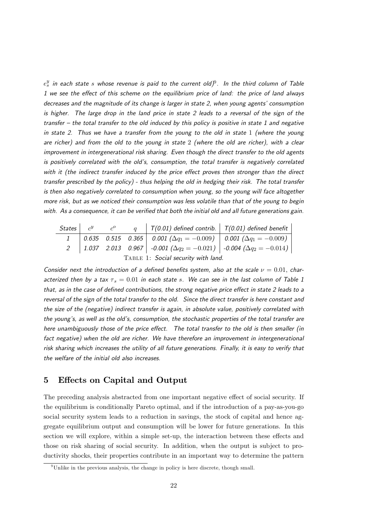$e_s^y$  in each state s whose revenue is paid to the current old)<sup>9</sup>. In the third column of Table 1 we see the effect of this scheme on the equilibrium price of land: the price of land always decreases and the magnitude of its change is larger in state 2, when young agents' consumption is higher. The large drop in the land price in state 2 leads to a reversal of the sign of the transfer – the total transfer to the old induced by this policy is positive in state 1 and negative in state 2. Thus we have a transfer from the young to the old in state  $1$  (where the young are richer) and from the old to the young in state 2 (where the old are richer), with a clear improvement in intergenerational risk sharing. Even though the direct transfer to the old agents is positively correlated with the old's, consumption, the total transfer is negatively correlated with it (the indirect transfer induced by the price effect proves then stronger than the direct transfer prescribed by the policy) - thus helping the old in hedging their risk. The total transfer is then also negatively correlated to consumption when young, so the young will face altogether more risk, but as we noticed their consumption was less volatile than that of the young to begin with. As a consequence, it can be verified that both the initial old and all future generations gain.

|                                     |  |  |  | States $c^y$ $c^0$ $q \mid T(0.01)$ defined contrib. $\mid T(0.01)$ defined benefit       |  |  |  |  |
|-------------------------------------|--|--|--|-------------------------------------------------------------------------------------------|--|--|--|--|
|                                     |  |  |  | 1   0.635 0.515 0.365   0.001 ( $\Delta q_1 = -0.009$ )   0.001 ( $\Delta q_1 = -0.009$ ) |  |  |  |  |
|                                     |  |  |  | 2   1.037 2.013 0.967   -0.001 $(\Delta q_2 = -0.021)$   -0.004 $(\Delta q_2 = -0.014)$   |  |  |  |  |
| TABLE 1: Social security with land. |  |  |  |                                                                                           |  |  |  |  |

Consider next the introduction of a defined benefits system, also at the scale  $\nu = 0.01$ , characterized then by a tax  $\tau_s = 0.01$  in each state s. We can see in the last column of Table 1 that, as in the case of defined contributions, the strong negative price effect in state 2 leads to a reversal of the sign of the total transfer to the old. Since the direct transfer is here constant and the size of the (negative) indirect transfer is again, in absolute value, positively correlated with the young's, as well as the old's, consumption, the stochastic properties of the total transfer are here unambiguously those of the price effect. The total transfer to the old is then smaller (in fact negative) when the old are richer. We have therefore an improvement in intergenerational risk sharing which increases the utility of all future generations. Finally, it is easy to verify that the welfare of the initial old also increases.

#### **Effects on Capital and Output**  $\overline{5}$

The preceding analysis abstracted from one important negative effect of social security. If the equilibrium is conditionally Pareto optimal, and if the introduction of a pay-as-you-go social security system leads to a reduction in savings, the stock of capital and hence aggregate equilibrium output and consumption will be lower for future generations. In this section we will explore, within a simple set-up, the interaction between these effects and those on risk sharing of social security. In addition, when the output is subject to productivity shocks, their properties contribute in an important way to determine the pattern

 $9$ Unlike in the previous analysis, the change in policy is here discrete, though small.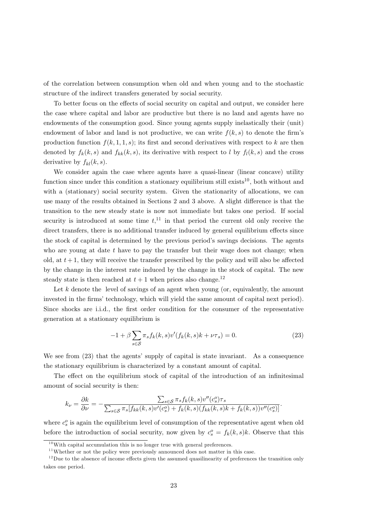of the correlation between consumption when old and when young and to the stochastic structure of the indirect transfers generated by social security.

To better focus on the effects of social security on capital and output, we consider here the case where capital and labor are productive but there is no land and agents have no endowments of the consumption good. Since young agents supply inelastically their (unit) endowment of labor and land is not productive, we can write  $f(k, s)$  to denote the firm's production function  $f(k,1,1,s)$ ; its first and second derivatives with respect to k are then denoted by  $f_k(k, s)$  and  $f_{kk}(k, s)$ , its derivative with respect to l by  $f_l(k, s)$  and the cross derivative by  $f_{kl}(k, s)$ .

We consider again the case where agents have a quasi-linear (linear concave) utility function since under this condition a stationary equilibrium still exists<sup>10</sup>, both without and with a (stationary) social security system. Given the stationarity of allocations, we can use many of the results obtained in Sections 2 and 3 above. A slight difference is that the transition to the new steady state is now not immediate but takes one period. If social security is introduced at some time  $t<sup>11</sup>$ , in that period the current old only receive the direct transfers, there is no additional transfer induced by general equilibrium effects since the stock of capital is determined by the previous period's savings decisions. The agents who are young at date  $t$  have to pay the transfer but their wage does not change; when old, at  $t+1$ , they will receive the transfer prescribed by the policy and will also be affected by the change in the interest rate induced by the change in the stock of capital. The new steady state is then reached at  $t + 1$  when prices also change.<sup>12</sup>

Let  $k$  denote the level of savings of an agent when young (or, equivalently, the amount invested in the firms' technology, which will yield the same amount of capital next period). Since shocks are i.i.d., the first order condition for the consumer of the representative generation at a stationary equilibrium is

$$
-1 + \beta \sum_{s \in \mathcal{S}} \pi_s f_k(k, s) v'(f_k(k, s)k + \nu \tau_s) = 0.
$$
 (23)

We see from (23) that the agents' supply of capital is state invariant. As a consequence the stationary equilibrium is characterized by a constant amount of capital.

The effect on the equilibrium stock of capital of the introduction of an infinitesimal amount of social security is then:

$$
k_{\nu} = \frac{\partial k}{\partial \nu} = -\frac{\sum_{s \in \mathcal{S}} \pi_s f_k(k, s) v''(c_s^o) \tau_s}{\sum_{s \in \mathcal{S}} \pi_s [f_{kk}(k, s) v'(c_s^o) + f_k(k, s) (f_{kk}(k, s)k + f_k(k, s)) v''(c_s^o)]}
$$

where  $c_s^o$  is again the equilibrium level of consumption of the representative agent when old before the introduction of social security, now given by  $c_s^o = f_k(k, s)k$ . Observe that this

 $10$ With capital accumulation this is no longer true with general preferences.

 $11$ Whether or not the policy were previously announced does not matter in this case.

 $12$ Due to the absence of income effects given the assumed quasilinearity of preferences the transition only takes one period.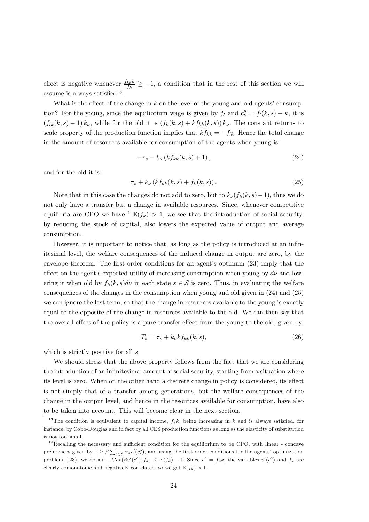effect is negative whenever  $\frac{f_{kk}k}{f_k} \ge -1$ , a condition that in the rest of this section we will assume is always satisfied<sup>13</sup>.

What is the effect of the change in  $k$  on the level of the young and old agents' consumption? For the young, since the equilibrium wage is given by  $f_l$  and  $c_s^y = f_l(k, s) - k$ , it is  $(f_{lk}(k, s) - 1) k_{\nu}$ , while for the old it is  $(f_k(k, s) + kf_{kk}(k, s)) k_{\nu}$ . The constant returns to scale property of the production function implies that  $kf_{kk} = -f_{lk}$ . Hence the total change in the amount of resources available for consumption of the agents when young is:

$$
-\tau_s - k_\nu \left(k f_{kk}(k, s) + 1\right),\tag{24}
$$

and for the old it is:

$$
\tau_s + k_\nu \left( k f_{kk}(k, s) + f_k(k, s) \right). \tag{25}
$$

Note that in this case the changes do not add to zero, but to  $k_{\nu}(f_k(k, s) - 1)$ , thus we do not only have a transfer but a change in available resources. Since, whenever competitive equilibria are CPO we have  $^{14}$   $\mathbb{E}(f_k) > 1$ , we see that the introduction of social security, by reducing the stock of capital, also lowers the expected value of output and average consumption.

However, it is important to notice that, as long as the policy is introduced at an infinitesimal level, the welfare consequences of the induced change in output are zero, by the envelope theorem. The first order conditions for an agent's optimum (23) imply that the effect on the agent's expected utility of increasing consumption when young by  $d\nu$  and lowering it when old by  $f_k(k, s)dv$  in each state  $s \in S$  is zero. Thus, in evaluating the welfare consequences of the changes in the consumption when young and old given in  $(24)$  and  $(25)$ we can ignore the last term, so that the change in resources available to the young is exactly equal to the opposite of the change in resources available to the old. We can then say that the overall effect of the policy is a pure transfer effect from the young to the old, given by:

$$
T_s = \tau_s + k_{\nu} k f_{kk}(k, s), \qquad (26)
$$

which is strictly positive for all  $s$ .

We should stress that the above property follows from the fact that we are considering the introduction of an infinitesimal amount of social security, starting from a situation where its level is zero. When on the other hand a discrete change in policy is considered, its effect is not simply that of a transfer among generations, but the welfare consequences of the change in the output level, and hence in the resources available for consumption, have also to be taken into account. This will become clear in the next section.

<sup>&</sup>lt;sup>13</sup>The condition is equivalent to capital income,  $f_k k$ , being increasing in k and is always satisfied, for instance, by Cobb-Douglas and in fact by all CES production functions as long as the elasticity of substitution is not too small.

 $14$ Recalling the necessary and sufficient condition for the equilibrium to be CPO, with linear - concave preferences given by  $1 \ge \beta \sum_{s \in S} \pi_s v'(c_s)$ , and using the first order conditions for the agents' optimization problem, (23), we obtain  $-Cov(\beta v'(c^o), f_k) \leq \mathbb{E}(f_k) - 1$ . Since  $c^o = f_k k$ , the variables  $v'(c^o)$  and  $f_k$  are clearly comonotonic and negatively correlated, so we get  $\mathbb{E}(f_k) > 1$ .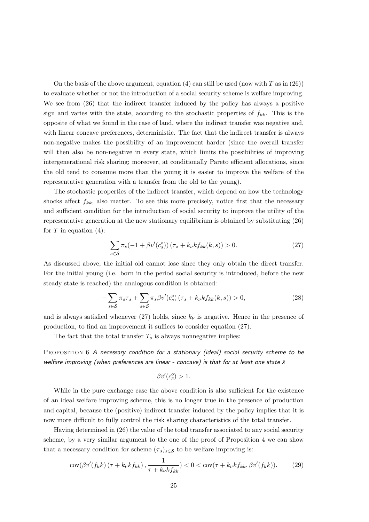On the basis of the above argument, equation (4) can still be used (now with T as in  $(26)$ ) to evaluate whether or not the introduction of a social security scheme is welfare improving. We see from  $(26)$  that the indirect transfer induced by the policy has always a positive sign and varies with the state, according to the stochastic properties of  $f_{kk}$ . This is the opposite of what we found in the case of land, where the indirect transfer was negative and, with linear concave preferences, deterministic. The fact that the indirect transfer is always non-negative makes the possibility of an improvement harder (since the overall transfer will then also be non-negative in every state, which limits the possibilities of improving intergenerational risk sharing; moreover, at conditionally Pareto efficient allocations, since the old tend to consume more than the young it is easier to improve the welfare of the representative generation with a transfer from the old to the young).

The stochastic properties of the indirect transfer, which depend on how the technology shocks affect  $f_{kk}$ , also matter. To see this more precisely, notice first that the necessary and sufficient condition for the introduction of social security to improve the utility of the representative generation at the new stationary equilibrium is obtained by substituting (26) for  $T$  in equation (4):

$$
\sum_{s \in S} \pi_s (-1 + \beta v'(c_s^o)) (\tau_s + k_\nu k f_{kk}(k, s)) > 0.
$$
 (27)

As discussed above, the initial old cannot lose since they only obtain the direct transfer. For the initial young (i.e. born in the period social security is introduced, before the new steady state is reached) the analogous condition is obtained:

$$
-\sum_{s\in\mathcal{S}}\pi_s\tau_s + \sum_{s\in\mathcal{S}}\pi_s\beta v'(c_s^o)\left(\tau_s + k_\nu k f_{kk}(k,s)\right) > 0,\tag{28}
$$

and is always satisfied whenever (27) holds, since  $k_{\nu}$  is negative. Hence in the presence of production, to find an improvement it suffices to consider equation  $(27)$ .

The fact that the total transfer  $T_s$  is always nonnegative implies:

PROPOSITION 6 A necessary condition for a stationary (ideal) social security scheme to be welfare improving (when preferences are linear - concave) is that for at least one state  $\bar{s}$ 

$$
\beta v'(c_{\bar{s}}^o) > 1
$$

While in the pure exchange case the above condition is also sufficient for the existence of an ideal welfare improving scheme, this is no longer true in the presence of production and capital, because the (positive) indirect transfer induced by the policy implies that it is now more difficult to fully control the risk sharing characteristics of the total transfer.

Having determined in (26) the value of the total transfer associated to any social security scheme, by a very similar argument to the one of the proof of Proposition 4 we can show that a necessary condition for scheme  $(\tau_s)_{s \in \mathcal{S}}$  to be welfare improving is:

$$
\operatorname{cov}(\beta v'(f_k k)\left(\tau + k_{\nu} k f_{kk}\right), \frac{1}{\tau + k_{\nu} k f_{kk}}) < 0 < \operatorname{cov}(\tau + k_{\nu} k f_{kk}, \beta v'(f_k k)).\tag{29}
$$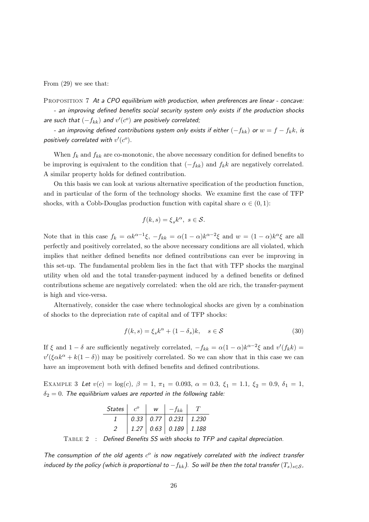From  $(29)$  we see that:

PROPOSITION 7 At a CPO equilibrium with production, when preferences are linear - concave:

- an improving defined benefits social security system only exists if the production shocks are such that  $(-f_{kk})$  and  $v'(c^o)$  are positively correlated;

- an improving defined contributions system only exists if either  $(-f_{kk})$  or  $w = f - f_k k$ , is positively correlated with  $v'(c^o)$ .

When  $f_k$  and  $f_{kk}$  are co-monotonic, the above necessary condition for defined benefits to be improving is equivalent to the condition that  $(-f_{kk})$  and  $f_k k$  are negatively correlated. A similar property holds for defined contribution.

On this basis we can look at various alternative specification of the production function, and in particular of the form of the technology shocks. We examine first the case of TFP shocks, with a Cobb-Douglas production function with capital share  $\alpha \in (0,1)$ :

$$
f(k,s) = \xi_s k^{\alpha}, \ s \in \mathcal{S}.
$$

Note that in this case  $f_k = \alpha k^{\alpha-1} \xi$ ,  $-f_{kk} = \alpha (1-\alpha) k^{\alpha-2} \xi$  and  $w = (1-\alpha) k^{\alpha} \xi$  are all perfectly and positively correlated, so the above necessary conditions are all violated, which implies that neither defined benefits nor defined contributions can ever be improving in this set-up. The fundamental problem lies in the fact that with TFP shocks the marginal utility when old and the total transfer-payment induced by a defined benefits or defined contributions scheme are negatively correlated: when the old are rich, the transfer-payment is high and vice-versa.

Alternatively, consider the case where technological shocks are given by a combination of shocks to the depreciation rate of capital and of TFP shocks:

$$
f(k,s) = \xi_s k^{\alpha} + (1 - \delta_s)k, \quad s \in \mathcal{S}
$$
\n(30)

If  $\xi$  and  $1-\delta$  are sufficiently negatively correlated,  $-f_{kk} = \alpha(1-\alpha)k^{\alpha-2}\xi$  and  $v'(f_k k) =$  $v'(\xi \alpha k^{\alpha} + k(1 - \delta))$  may be positively correlated. So we can show that in this case we can have an improvement both with defined benefits and defined contributions.

EXAMPLE 3 Let  $v(c) = \log(c)$ ,  $\beta = 1$ ,  $\pi_1 = 0.093$ ,  $\alpha = 0.3$ ,  $\xi_1 = 1.1$ ,  $\xi_2 = 0.9$ ,  $\delta_1 = 1$ ,  $\delta_2 = 0$ . The equilibrium values are reported in the following table:

| <i>States</i> | W | $-f_{kk}$                              |  |
|---------------|---|----------------------------------------|--|
|               |   | $0.33$   $0.77$   $0.231$   $1.230$    |  |
|               |   | $1.27 \mid 0.63 \mid 0.189 \mid 1.188$ |  |

TABLE 2  $\cdot$ : Defined Benefits SS with shocks to TFP and capital depreciation.

The consumption of the old agents  $c^{\circ}$  is now negatively correlated with the indirect transfer induced by the policy (which is proportional to  $-f_{kk}$ ). So will be then the total transfer  $(T_s)_{s \in S}$ ,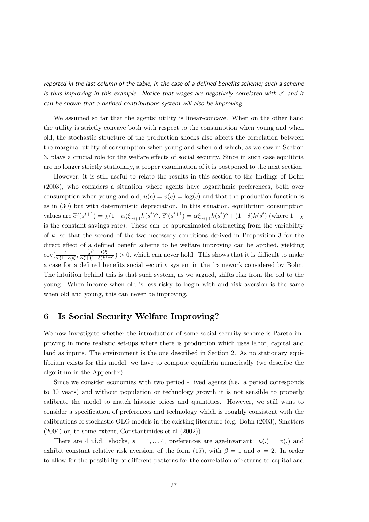reported in the last column of the table, in the case of a defined benefits scheme; such a scheme is thus improving in this example. Notice that wages are negatively correlated with  $c^{\circ}$  and it can be shown that a defined contributions system will also be improving.

We assumed so far that the agents' utility is linear-concave. When on the other hand the utility is strictly concave both with respect to the consumption when young and when old, the stochastic structure of the production shocks also affects the correlation between the marginal utility of consumption when young and when old which, as we saw in Section 3, plays a crucial role for the welfare effects of social security. Since in such case equilibria are no longer strictly stationary, a proper examination of it is postponed to the next section.

However, it is still useful to relate the results in this section to the findings of Bohn (2003), who considers a situation where agents have logarithmic preferences, both over consumption when young and old,  $u(c) = v(c) = \log(c)$  and that the production function is as in  $(30)$  but with deterministic depreciation. In this situation, equilibrium consumption values are  $\tilde{c}^y(s^{t+1}) = \chi(1-\alpha)\xi_{s_{t+1}}k(s^t)^{\alpha}, \tilde{c}^o(s^{t+1}) = \alpha\xi_{s_{t+1}}k(s^t)^{\alpha} + (1-\delta)k(s^t)$  (where  $1-\chi$ is the constant savings rate). These can be approximated abstracting from the variability of  $k$ , so that the second of the two necessary conditions derived in Proposition 3 for the direct effect of a defined benefit scheme to be welfare improving can be applied, yielding  $\operatorname{cov}(\frac{1}{\chi(1-\alpha)\xi},\frac{\frac{1}{2}(1-\alpha)\xi}{\alpha\xi+(1-\delta)k^{1-\alpha}})>0$ , which can never hold. This shows that it is difficult to make a case for a defined benefits social security system in the framework considered by Bohn. The intuition behind this is that such system, as we argued, shifts risk from the old to the young. When income when old is less risky to begin with and risk aversion is the same when old and young, this can never be improving.

#### Is Social Security Welfare Improving? 6

We now investigate whether the introduction of some social security scheme is Pareto improving in more realistic set-ups where there is production which uses labor, capital and land as inputs. The environment is the one described in Section 2. As no stationary equilibrium exists for this model, we have to compute equilibria numerically (we describe the algorithm in the Appendix).

Since we consider economies with two period - lived agents (i.e. a period corresponds to 30 years) and without population or technology growth it is not sensible to properly calibrate the model to match historic prices and quantities. However, we still want to consider a specification of preferences and technology which is roughly consistent with the calibrations of stochastic OLG models in the existing literature (e.g. Bohn (2003), Smetters  $(2004)$  or, to some extent, Constantinides et al  $(2002)$ ).

There are 4 i.i.d. shocks,  $s = 1, ..., 4$ , preferences are age-invariant:  $u(.) = v(.)$  and exhibit constant relative risk aversion, of the form (17), with  $\beta = 1$  and  $\sigma = 2$ . In order to allow for the possibility of different patterns for the correlation of returns to capital and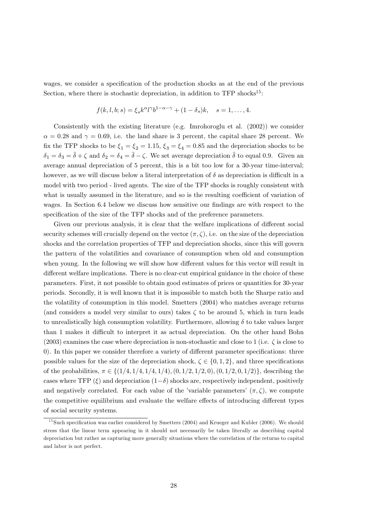wages, we consider a specification of the production shocks as at the end of the previous Section, where there is stochastic depreciation, in addition to TFP shocks<sup>15</sup>:

$$
f(k, l, b; s) = \xi_s k^{\alpha} l^{\gamma} b^{1-\alpha-\gamma} + (1-\delta_s)k, \quad s = 1, \dots, 4
$$

Consistently with the existing literature (e.g. Imrohoroglu et al.  $(2002)$ ) we consider  $\alpha = 0.28$  and  $\gamma = 0.69$ , i.e. the land share is 3 percent, the capital share 28 percent. We fix the TFP shocks to be  $\xi_1 = \xi_2 = 1.15$ ,  $\xi_3 = \xi_4 = 0.85$  and the depreciation shocks to be  $\delta_1 = \delta_3 = \bar{\delta} + \zeta$  and  $\delta_2 = \delta_4 = \bar{\delta} - \zeta$ . We set average depreciation  $\bar{\delta}$  to equal 0.9. Given an average annual depreciation of 5 percent, this is a bit too low for a 30-year time-interval; however, as we will discuss below a literal interpretation of  $\delta$  as depreciation is difficult in a model with two period - lived agents. The size of the TFP shocks is roughly consistent with what is usually assumed in the literature, and so is the resulting coefficient of variation of wages. In Section 6.4 below we discuss how sensitive our findings are with respect to the specification of the size of the TFP shocks and of the preference parameters.

Given our previous analysis, it is clear that the welfare implications of different social security schemes will crucially depend on the vector  $(\pi, \zeta)$ , i.e. on the size of the depreciation shocks and the correlation properties of TFP and depreciation shocks, since this will govern the pattern of the volatilities and covariance of consumption when old and consumption when young. In the following we will show how different values for this vector will result in different welfare implications. There is no clear-cut empirical guidance in the choice of these parameters. First, it not possible to obtain good estimates of prices or quantities for 30-year periods. Secondly, it is well known that it is impossible to match both the Sharpe ratio and the volatility of consumption in this model. Smetters (2004) who matches average returns (and considers a model very similar to ours) takes  $\zeta$  to be around 5, which in turn leads to unrealistically high consumption volatility. Furthermore, allowing  $\delta$  to take values larger than 1 makes it difficult to interpret it as actual depreciation. On the other hand Bohn (2003) examines the case where depreciation is non-stochastic and close to 1 (i.e.  $\zeta$  is close to 0). In this paper we consider therefore a variety of different parameter specifications: three possible values for the size of the depreciation shock,  $\zeta \in \{0,1,2\}$ , and three specifications of the probabilities,  $\pi \in \{(1/4, 1/4, 1/4, 1/4), (0, 1/2, 1/2, 0), (0, 1/2, 0, 1/2)\}\,$ , describing the cases where TFP  $(\xi)$  and depreciation  $(1-\delta)$  shocks are, respectively independent, positively and negatively correlated. For each value of the 'variable parameters'  $(\pi, \zeta)$ , we compute the competitive equilibrium and evaluate the welfare effects of introducing different types of social security systems.

<sup>&</sup>lt;sup>15</sup> Such specification was earlier considered by Smetters  $(2004)$  and Krueger and Kubler  $(2006)$ . We should stress that the linear term appearing in it should not necessarily be taken literally as describing capital depreciation but rather as capturing more generally situations where the correlation of the returns to capital and labor is not perfect.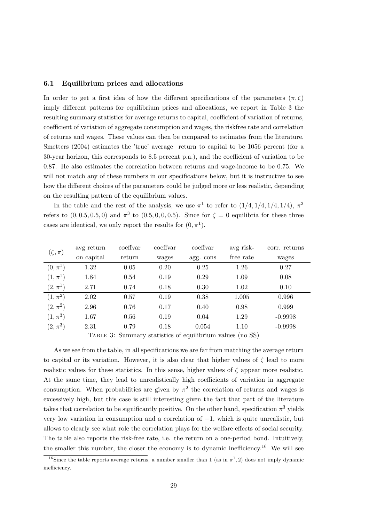#### $6.1$ Equilibrium prices and allocations

In order to get a first idea of how the different specifications of the parameters  $(\pi, \zeta)$ imply different patterns for equilibrium prices and allocations, we report in Table 3 the resulting summary statistics for average returns to capital, coefficient of variation of returns, coefficient of variation of aggregate consumption and wages, the riskfree rate and correlation of returns and wages. These values can then be compared to estimates from the literature. Smetters (2004) estimates the 'true' average return to capital to be 1056 percent (for a 30-year horizon, this corresponds to 8.5 percent p.a.), and the coefficient of variation to be 0.87. He also estimates the correlation between returns and wage-income to be 0.75. We will not match any of these numbers in our specifications below, but it is instructive to see how the different choices of the parameters could be judged more or less realistic, depending on the resulting pattern of the equilibrium values.

In the table and the rest of the analysis, we use  $\pi^1$  to refer to  $(1/4, 1/4, 1/4, 1/4)$ ,  $\pi^2$ refers to  $(0, 0.5, 0.5, 0)$  and  $\pi^3$  to  $(0.5, 0, 0.0, 0.5)$ . Since for  $\zeta = 0$  equilibria for these three cases are identical, we only report the results for  $(0, \pi^1)$ .

| $(\zeta,\pi)$ | avg return | coeffyar | coeffyar | coeffyar                                                  | avg risk- | corr. returns |
|---------------|------------|----------|----------|-----------------------------------------------------------|-----------|---------------|
|               | on capital | return   | wages    | agg. cons                                                 | free rate | wages         |
| $(0, \pi^1)$  | 1.32       | 0.05     | 0.20     | 0.25                                                      | 1.26      | 0.27          |
| $(1, \pi^1)$  | 1.84       | 0.54     | 0.19     | 0.29                                                      | 1.09      | 0.08          |
| $(2,\pi^{1})$ | 2.71       | 0.74     | 0.18     | 0.30                                                      | 1.02      | 0.10          |
| $(1, \pi^2)$  | 2.02       | 0.57     | 0.19     | 0.38                                                      | 1.005     | 0.996         |
| $(2,\pi^2)$   | 2.96       | 0.76     | 0.17     | 0.40                                                      | 0.98      | 0.999         |
| $(1, \pi^3)$  | 1.67       | 0.56     | 0.19     | 0.04                                                      | 1.29      | $-0.9998$     |
| $(2,\pi^3)$   | 2.31       | 0.79     | 0.18     | 0.054                                                     | 1.10      | $-0.9998$     |
|               |            |          |          | TABLE 3: Summary statistics of equilibrium values (no SS) |           |               |

TABLE 3: Summary statistics of equilibrium values (no SS)

As we see from the table, in all specifications we are far from matching the average return to capital or its variation. However, it is also clear that higher values of  $\zeta$  lead to more realistic values for these statistics. In this sense, higher values of  $\zeta$  appear more realistic. At the same time, they lead to unrealistically high coefficients of variation in aggregate consumption. When probabilities are given by  $\pi^2$  the correlation of returns and wages is excessively high, but this case is still interesting given the fact that part of the literature takes that correlation to be significantly positive. On the other hand, specification  $\pi^3$  yields very low variation in consumption and a correlation of  $-1$ , which is quite unrealistic, but allows to clearly see what role the correlation plays for the welfare effects of social security. The table also reports the risk-free rate, i.e. the return on a one-period bond. Intuitively, the smaller this number, the closer the economy is to dynamic inefficiency.<sup>16</sup> We will see

<sup>&</sup>lt;sup>16</sup>Since the table reports average returns, a number smaller than 1 (as in  $\pi^1$ , 2) does not imply dynamic inefficiency.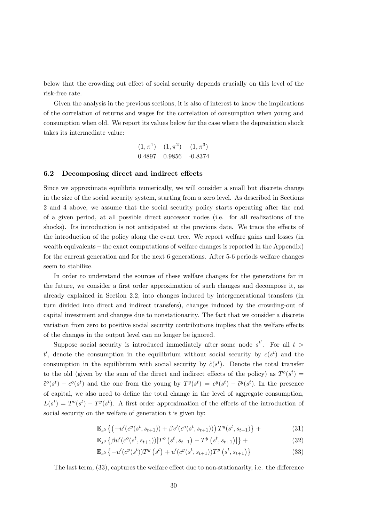below that the crowding out effect of social security depends crucially on this level of the risk-free rate.

Given the analysis in the previous sections, it is also of interest to know the implications of the correlation of returns and wages for the correlation of consumption when young and consumption when old. We report its values below for the case where the depreciation shock takes its intermediate value:

> $(1, \pi^1)$   $(1, \pi^2)$   $(1, \pi^3)$ 0.4897 0.9856 -0.8374

#### $6.2$ Decomposing direct and indirect effects

Since we approximate equilibria numerically, we will consider a small but discrete change in the size of the social security system, starting from a zero level. As described in Sections 2 and 4 above, we assume that the social security policy starts operating after the end of a given period, at all possible direct successor nodes (i.e. for all realizations of the shocks). Its introduction is not anticipated at the previous date. We trace the effects of the introduction of the policy along the event tree. We report welfare gains and losses (in wealth equivalents – the exact computations of welfare changes is reported in the Appendix) for the current generation and for the next 6 generations. After 5-6 periods welfare changes seem to stabilize.

In order to understand the sources of these welfare changes for the generations far in the future, we consider a first order approximation of such changes and decompose it, as already explained in Section 2.2, into changes induced by intergenerational transfers (in turn divided into direct and indirect transfers), changes induced by the crowding-out of capital investment and changes due to nonstationarity. The fact that we consider a discrete variation from zero to positive social security contributions implies that the welfare effects of the changes in the output level can no longer be ignored.

Suppose social security is introduced immediately after some node  $s^{t'}$ . For all  $t >$ t', denote the consumption in the equilibrium without social security by  $c(s^t)$  and the consumption in the equilibrium with social security by  $\tilde{c}(s^t)$ . Denote the total transfer to the old (given by the sum of the direct and indirect effects of the policy) as  $T^{\sigma}(s^t)$  =  $\tilde{c}^{\circ}(s^t) - c^{\circ}(s^t)$  and the one from the young by  $T^y(s^t) = c^y(s^t) - \tilde{c}^y(s^t)$ . In the presence of capital, we also need to define the total change in the level of aggregate consumption,  $L(s^t) = T^{\rho}(s^t) - T^{\nu}(s^t)$ . A first order approximation of the effects of the introduction of social security on the welfare of generation  $t$  is given by:

$$
\mathbb{E}_{s^0} \left\{ \left( -u'(c^y(s^t, s_{t+1})) + \beta v'(c^o(s^t, s_{t+1})) \right) T^y(s^t, s_{t+1}) \right\} + \tag{31}
$$

$$
\mathbb{E}_{s^0} \left\{ \beta u'(c^o(s^t, s_{t+1})) [T^o \left( s^t, s_{t+1} \right) - T^y \left( s^t, s_{t+1} \right)] \right\} + \tag{32}
$$

$$
\mathbb{E}_{s^0} \left\{ -u'(c^y(s^t))T^y(s^t) + u'(c^y(s^t, s_{t+1}))T^y(s^t, s_{t+1}) \right\}
$$
(33)

The last term, (33), captures the welfare effect due to non-stationarity, i.e. the difference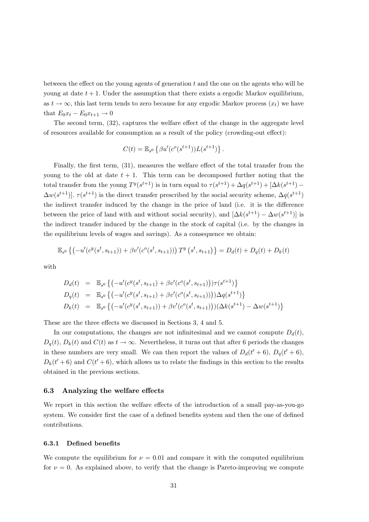between the effect on the young agents of generation  $t$  and the one on the agents who will be young at date  $t + 1$ . Under the assumption that there exists a ergodic Markov equilibrium, as  $t \to \infty$ , this last term tends to zero because for any ergodic Markov process  $(x_t)$  we have that  $E_0x_t - E_0x_{t+1} \rightarrow 0$ 

The second term, (32), captures the welfare effect of the change in the aggregate level of resources available for consumption as a result of the policy (crowding-out effect):

$$
C(t) = \mathbb{E}_{s^0} \left\{ \beta u'(c^o(s^{t+1})) L(s^{t+1}) \right\}.
$$

Finally, the first term,  $(31)$ , measures the welfare effect of the total transfer from the young to the old at date  $t + 1$ . This term can be decomposed further noting that the total transfer from the young  $T^y(s^{t+1})$  is in turn equal to  $\tau(s^{t+1}) + \Delta q(s^{t+1}) + [\Delta k(s^{t+1}) \Delta w(s^{t+1})$ .  $\tau(s^{t+1})$  is the direct transfer prescribed by the social security scheme,  $\Delta q(s^{t+1})$ the indirect transfer induced by the change in the price of land (i.e. it is the difference between the price of land with and without social security), and  $[\Delta k(s^{t+1}) - \Delta w(s^{t+1})]$  is the indirect transfer induced by the change in the stock of capital (i.e. by the changes in the equilibrium levels of wages and savings). As a consequence we obtain:

$$
\mathbb{E}_{s^0} \left\{ \left( -u'(c^y(s^t, s_{t+1})) + \beta v'(c^o(s^t, s_{t+1})) \right) T^y \left( s^t, s_{t+1} \right) \right\} = D_d(t) + D_q(t) + D_k(t)
$$

with

$$
D_d(t) = \mathbb{E}_{s^0} \left\{ \left( -u'(c^y(s^t, s_{t+1}) + \beta v'(c^o(s^t, s_{t+1})) \tau(s^{t+1}) \right\} D_q(t) = \mathbb{E}_{s^0} \left\{ \left( -u'(c^y(s^t, s_{t+1}) + \beta v'(c^o(s^t, s_{t+1}))) \Delta q(s^{t+1}) \right\} D_k(t) = \mathbb{E}_{s^0} \left\{ \left( -u'(c^y(s^t, s_{t+1})) + \beta v'(c^o(s^t, s_{t+1})) \Delta k(s^{t+1}) - \Delta w(s^{t+1}) \right\} \right\}
$$

These are the three effects we discussed in Sections 3, 4 and 5.

In our computations, the changes are not infinitesimal and we cannot compute  $D_d(t)$ ,  $D_q(t)$ ,  $D_k(t)$  and  $C(t)$  as  $t \to \infty$ . Nevertheless, it turns out that after 6 periods the changes in these numbers are very small. We can then report the values of  $D_d(t'+6)$ ,  $D_q(t'+6)$ ,  $D_k(t'+6)$  and  $C(t'+6)$ , which allows us to relate the findings in this section to the results obtained in the previous sections.

#### 6.3 Analyzing the welfare effects

We report in this section the welfare effects of the introduction of a small pay-as-you-go system. We consider first the case of a defined benefits system and then the one of defined contributions.

#### 6.3.1 Defined benefits

We compute the equilibrium for  $\nu = 0.01$  and compare it with the computed equilibrium for  $\nu = 0$ . As explained above, to verify that the change is Pareto-improving we compute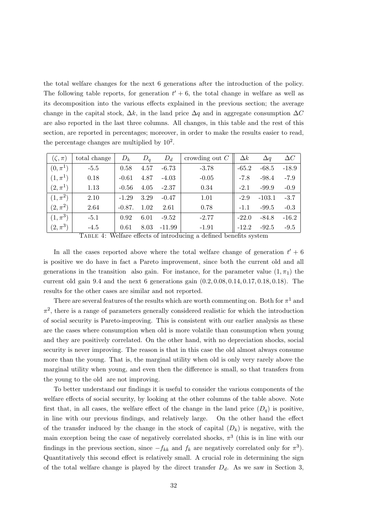the total welfare changes for the next 6 generations after the introduction of the policy. The following table reports, for generation  $t' + 6$ , the total change in welfare as well as its decomposition into the various effects explained in the previous section; the average change in the capital stock,  $\Delta k$ , in the land price  $\Delta q$  and in aggregate consumption  $\Delta C$ are also reported in the last three columns. All changes, in this table and the rest of this section, are reported in percentages; moreover, in order to make the results easier to read, the percentage changes are multiplied by  $10^2$ .

| $(\zeta,\pi)$ | total change | $D_k$     | $D_q$ | $D_d$    | crowding out $C$ | $\Delta k$ | $\Delta q$ | $\Delta C$ |
|---------------|--------------|-----------|-------|----------|------------------|------------|------------|------------|
| $(0, \pi^1)$  | $-5.5$       | 0.58      | 4.57  | $-6.73$  | $-3.78$          | $-65.2$    | $-68.5$    | $-18.9$    |
| $(1, \pi^1)$  | 0.18         | $-0.61$   | 4.87  | $-4.03$  | $-0.05$          | $-7.8$     | $-98.4$    | $-7.9$     |
| $(2,\pi^{1})$ | 1.13         | $-0.56$   | 4.05  | $-2.37$  | 0.34             | $-2.1$     | $-99.9$    | $-0.9$     |
| $(1, \pi^2)$  | 2.10         | $-1.29$   | 3.29  | $-0.47$  | 1.01             | $-2.9$     | $-103.1$   | $-3.7$     |
| $(2,\pi^2)$   | 2.64         | $-0.87$ . | 1.02  | 2.61     | 0.78             | $-1.1$     | $-99.5$    | $-0.3$     |
| $(1, \pi^3)$  | $-5.1$       | 0.92      | 6.01  | $-9.52$  | $-2.77$          | $-22.0$    | $-84.8$    | $-16.2$    |
| $(2,\pi^3)$   | $-4.5$       | 0.61      | 8.03  | $-11.99$ | $-1.91$          | $-12.2$    | $-92.5$    | $-9.5$     |

TABLE 4: Welfare effects of introducing a defined benefits system

In all the cases reported above where the total welfare change of generation  $t' + 6$ is positive we do have in fact a Pareto improvement, since both the current old and all generations in the transition also gain. For instance, for the parameter value  $(1, \pi_1)$  the current old gain 9.4 and the next 6 generations gain  $(0.2, 0.08, 0.14, 0.17, 0.18, 0.18)$ . The results for the other cases are similar and not reported.

There are several features of the results which are worth commenting on. Both for  $\pi^1$  and  $\pi^2$ , there is a range of parameters generally considered realistic for which the introduction of social security is Pareto-improving. This is consistent with our earlier analysis as these are the cases where consumption when old is more volatile than consumption when young and they are positively correlated. On the other hand, with no depreciation shocks, social security is never improving. The reason is that in this case the old almost always consume more than the young. That is, the marginal utility when old is only very rarely above the marginal utility when young, and even then the difference is small, so that transfers from the young to the old are not improving.

To better understand our findings it is useful to consider the various components of the welfare effects of social security, by looking at the other columns of the table above. Note first that, in all cases, the welfare effect of the change in the land price  $(D_q)$  is positive, in line with our previous findings, and relatively large. On the other hand the effect of the transfer induced by the change in the stock of capital  $(D_k)$  is negative, with the main exception being the case of negatively correlated shocks,  $\pi^3$  (this is in line with our findings in the previous section, since  $-f_{kk}$  and  $f_k$  are negatively correlated only for  $\pi^3$ ). Quantitatively this second effect is relatively small. A crucial role in determining the sign of the total welfare change is played by the direct transfer  $D_d$ . As we saw in Section 3,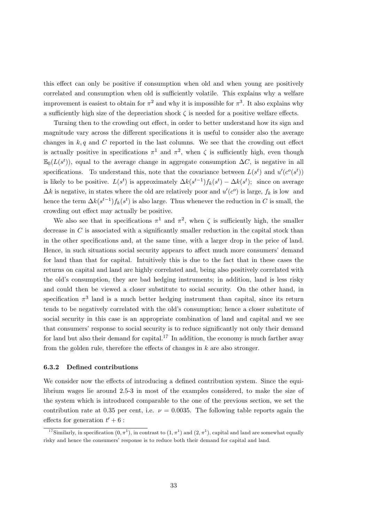this effect can only be positive if consumption when old and when young are positively correlated and consumption when old is sufficiently volatile. This explains why a welfare improvement is easiest to obtain for  $\pi^2$  and why it is impossible for  $\pi^3$ . It also explains why a sufficiently high size of the depreciation shock  $\zeta$  is needed for a positive welfare effects.

Turning then to the crowding out effect, in order to better understand how its sign and magnitude vary across the different specifications it is useful to consider also the average changes in  $k, q$  and C reported in the last columns. We see that the crowding out effect is actually positive in specifications  $\pi^1$  and  $\pi^2$ , when  $\zeta$  is sufficiently high, even though  $\mathbb{E}_{0}(L(s^{t}))$ , equal to the average change in aggregate consumption  $\Delta C$ , is negative in all specifications. To understand this, note that the covariance between  $L(s^t)$  and  $u'(c^o(s^t))$ is likely to be positive.  $L(s^t)$  is approximately  $\Delta k(s^{t-1}) f_k(s^t) - \Delta k(s^t)$ ; since on average  $\Delta k$  is negative, in states where the old are relatively poor and  $u'(c^o)$  is large,  $f_k$  is low and hence the term  $\Delta k(s^{t-1}) f_k(s^t)$  is also large. Thus whenever the reduction in C is small, the crowding out effect may actually be positive.

We also see that in specifications  $\pi^1$  and  $\pi^2$ , when  $\zeta$  is sufficiently high, the smaller decrease in  $C$  is associated with a significantly smaller reduction in the capital stock than in the other specifications and, at the same time, with a larger drop in the price of land. Hence, in such situations social security appears to affect much more consumers' demand for land than that for capital. Intuitively this is due to the fact that in these cases the returns on capital and land are highly correlated and, being also positively correlated with the old's consumption, they are bad hedging instruments; in addition, land is less risky and could then be viewed a closer substitute to social security. On the other hand, in specification  $\pi^3$  land is a much better hedging instrument than capital, since its return tends to be negatively correlated with the old's consumption; hence a closer substitute of social security in this case is an appropriate combination of land and capital and we see that consumers' response to social security is to reduce significantly not only their demand for land but also their demand for capital.<sup>17</sup> In addition, the economy is much farther away from the golden rule, therefore the effects of changes in  $k$  are also stronger.

#### 6.3.2 Defined contributions

We consider now the effects of introducing a defined contribution system. Since the equilibrium wages lie around 2.5-3 in most of the examples considered, to make the size of the system which is introduced comparable to the one of the previous section, we set the contribution rate at 0.35 per cent, i.e.  $\nu = 0.0035$ . The following table reports again the effects for generation  $t' + 6$ :

<sup>&</sup>lt;sup>17</sup>Similarly, in specification  $(0, \pi^1)$ , in contrast to  $(1, \pi^1)$  and  $(2, \pi^1)$ , capital and land are somewhat equally risky and hence the consumers' response is to reduce both their demand for capital and land.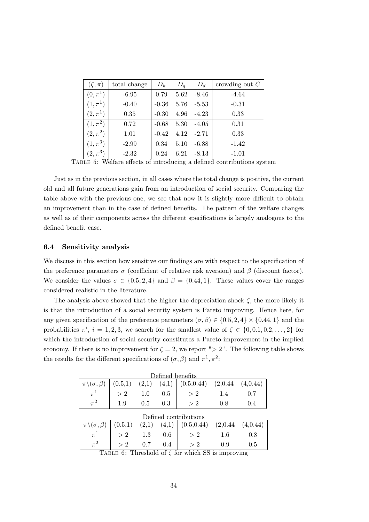| $(\zeta,\pi)$ | total change | $D_k$   | $D_q$ | $D_d$   | crowding out $C$ |
|---------------|--------------|---------|-------|---------|------------------|
| $(0, \pi^1)$  | $-6.95$      | 0.79    | 5.62  | $-8.46$ | $-4.64$          |
| $(1, \pi^1)$  | $-0.40$      | $-0.36$ | 5.76  | $-5.53$ | $-0.31$          |
| $(2,\pi^{1})$ | 0.35         | $-0.30$ | 4.96  | $-4.23$ | 0.33             |
| $(1, \pi^2)$  | 0.72         | $-0.68$ | 5.30  | $-4.05$ | 0.31             |
| $(2,\pi^2)$   | 1.01         | $-0.42$ | 4.12  | $-2.71$ | 0.33             |
| $(1, \pi^3)$  | $-2.99$      | 0.34    | 5.10  | $-6.88$ | $-1.42$          |
| $(2,\pi^3)$   | $-2.32$      | 0.24    | 6.21  | $-8.13$ | $-1.01$          |

TABLE 5: Welfare effects of introducing a defined contributions system

Just as in the previous section, in all cases where the total change is positive, the current old and all future generations gain from an introduction of social security. Comparing the table above with the previous one, we see that now it is slightly more difficult to obtain an improvement than in the case of defined benefits. The pattern of the welfare changes as well as of their components across the different specifications is largely analogous to the defined benefit case.

#### 6.4 Sensitivity analysis

We discuss in this section how sensitive our findings are with respect to the specification of the preference parameters  $\sigma$  (coefficient of relative risk aversion) and  $\beta$  (discount factor). We consider the values  $\sigma \in \{0.5, 2, 4\}$  and  $\beta = \{0.44, 1\}$ . These values cover the ranges considered realistic in the literature.

The analysis above showed that the higher the depreciation shock  $\zeta$ , the more likely it is that the introduction of a social security system is Pareto improving. Hence here, for any given specification of the preference parameters  $(\sigma, \beta) \in \{0.5, 2, 4\} \times \{0.44, 1\}$  and the probabilities  $\pi^i$ ,  $i = 1, 2, 3$ , we search for the smallest value of  $\zeta \in \{0, 0.1, 0.2, ..., 2\}$  for which the introduction of social security constitutes a Pareto-improvement in the implied economy. If there is no improvement for  $\zeta = 2$ , we report "> 2". The following table shows the results for the different specifications of  $(\sigma, \beta)$  and  $\pi^1, \pi^2$ .

| Defined benefits                |         |         |     |                                                   |     |     |  |  |  |
|---------------------------------|---------|---------|-----|---------------------------------------------------|-----|-----|--|--|--|
| $\pi \setminus (\sigma, \beta)$ | (0.5,1) |         |     | $(2,1)$ $(4,1)$ $(0.5,0.44)$ $(2,0.44$ $(4,0.44)$ |     |     |  |  |  |
|                                 |         | $1.0\,$ | 0.5 |                                                   |     |     |  |  |  |
|                                 | 1.9     | U.5     | 0.3 |                                                   | 0.8 | 0.4 |  |  |  |

| Defined contributions           |         |       |       |                                 |               |          |  |  |
|---------------------------------|---------|-------|-------|---------------------------------|---------------|----------|--|--|
| $\pi \setminus (\sigma, \beta)$ | (0.5,1) | (2,1) |       | $(4,1)$ $(0.5,0.44)$ $(2,0.44)$ |               | (4,0.44) |  |  |
|                                 |         | 1.3   | 0.6   | >2                              | $1.6^{\circ}$ | 0.8      |  |  |
|                                 |         | 0.7   | (0.4) | >2                              | 0.9           | 0.5      |  |  |

TABLE 6: Threshold of  $\zeta$  for which SS is improving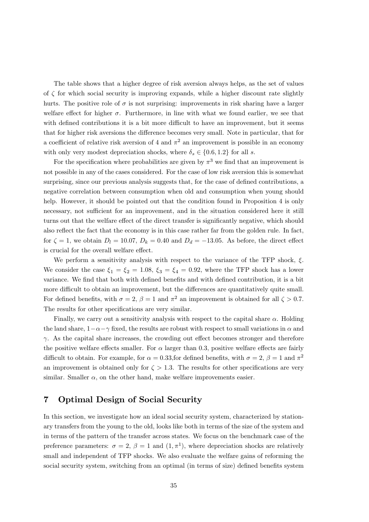The table shows that a higher degree of risk aversion always helps, as the set of values of  $\zeta$  for which social security is improving expands, while a higher discount rate slightly hurts. The positive role of  $\sigma$  is not surprising: improvements in risk sharing have a larger welfare effect for higher  $\sigma$ . Furthermore, in line with what we found earlier, we see that with defined contributions it is a bit more difficult to have an improvement, but it seems that for higher risk aversions the difference becomes very small. Note in particular, that for a coefficient of relative risk aversion of 4 and  $\pi^2$  an improvement is possible in an economy with only very modest depreciation shocks, where  $\delta_s \in \{0.6, 1.2\}$  for all s.

For the specification where probabilities are given by  $\pi^3$  we find that an improvement is not possible in any of the cases considered. For the case of low risk aversion this is somewhat surprising, since our previous analysis suggests that, for the case of defined contributions, a negative correlation between consumption when old and consumption when young should help. However, it should be pointed out that the condition found in Proposition 4 is only necessary, not sufficient for an improvement, and in the situation considered here it still turns out that the welfare effect of the direct transfer is significantly negative, which should also reflect the fact that the economy is in this case rather far from the golden rule. In fact, for  $\zeta = 1$ , we obtain  $D_l = 10.07$ ,  $D_k = 0.40$  and  $D_d = -13.05$ . As before, the direct effect is crucial for the overall welfare effect.

We perform a sensitivity analysis with respect to the variance of the TFP shock,  $\xi$ . We consider the case  $\xi_1 = \xi_2 = 1.08$ ,  $\xi_3 = \xi_4 = 0.92$ , where the TFP shock has a lower variance. We find that both with defined benefits and with defined contribution, it is a bit more difficult to obtain an improvement, but the differences are quantitatively quite small. For defined benefits, with  $\sigma = 2$ ,  $\beta = 1$  and  $\pi^2$  an improvement is obtained for all  $\zeta > 0.7$ . The results for other specifications are very similar.

Finally, we carry out a sensitivity analysis with respect to the capital share  $\alpha$ . Holding the land share,  $1-\alpha-\gamma$  fixed, the results are robust with respect to small variations in  $\alpha$  and  $\gamma$ . As the capital share increases, the crowding out effect becomes stronger and therefore the positive welfare effects smaller. For  $\alpha$  larger than 0.3, positive welfare effects are fairly difficult to obtain. For example, for  $\alpha = 0.33$ , for defined benefits, with  $\sigma = 2$ ,  $\beta = 1$  and  $\pi^2$ an improvement is obtained only for  $\zeta > 1.3$ . The results for other specifications are very similar. Smaller  $\alpha$ , on the other hand, make welfare improvements easier.

#### $\overline{7}$ **Optimal Design of Social Security**

In this section, we investigate how an ideal social security system, characterized by stationary transfers from the young to the old, looks like both in terms of the size of the system and in terms of the pattern of the transfer across states. We focus on the benchmark case of the preference parameters:  $\sigma = 2$ ,  $\beta = 1$  and  $(1, \pi^1)$ , where depreciation shocks are relatively small and independent of TFP shocks. We also evaluate the welfare gains of reforming the social security system, switching from an optimal (in terms of size) defined benefits system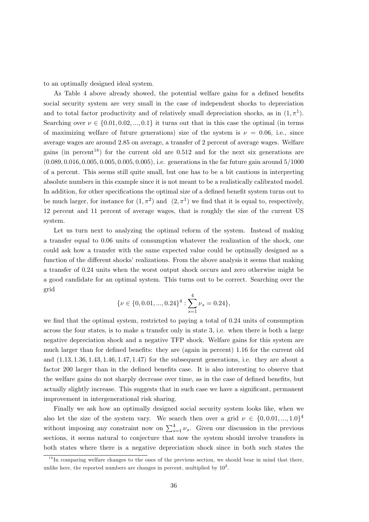to an optimally designed ideal system.

As Table 4 above already showed, the potential welfare gains for a defined benefits social security system are very small in the case of independent shocks to depreciation and to total factor productivity and of relatively small depreciation shocks, as in  $(1, \pi^1)$ . Searching over  $\nu \in \{0.01, 0.02, ..., 0.1\}$  it turns out that in this case the optimal (in terms of maximizing welfare of future generations) size of the system is  $\nu = 0.06$ , i.e., since average wages are around 2.85 on average, a transfer of 2 percent of average wages. Welfare gains (in percent<sup>18</sup>) for the current old are  $0.512$  and for the next six generations are  $(0.089, 0.016, 0.005, 0.005, 0.005, 0.005)$ , i.e. generations in the far future gain around  $5/1000$ of a percent. This seems still quite small, but one has to be a bit cautious in interpreting absolute numbers in this example since it is not meant to be a realistically calibrated model. In addition, for other specifications the optimal size of a defined benefit system turns out to be much larger, for instance for  $(1, \pi^2)$  and  $(2, \pi^1)$  we find that it is equal to, respectively, 12 percent and 11 percent of average wages, that is roughly the size of the current US system.

Let us turn next to analyzing the optimal reform of the system. Instead of making a transfer equal to 0.06 units of consumption whatever the realization of the shock, one could ask how a transfer with the same expected value could be optimally designed as a function of the different shocks' realizations. From the above analysis it seems that making a transfer of 0.24 units when the worst output shock occurs and zero otherwise might be a good candidate for an optimal system. This turns out to be correct. Searching over the grid

$$
\{\nu \in \{0, 0.01, ..., 0.24\}^4 : \sum_{s=1}^4 \nu_s = 0.24\},\
$$

we find that the optimal system, restricted to paying a total of 0.24 units of consumption across the four states, is to make a transfer only in state 3, i.e. when there is both a large negative depreciation shock and a negative TFP shock. Welfare gains for this system are much larger than for defined benefits: they are (again in percent) 1.16 for the current old and  $(1.13, 1.36, 1.43, 1.46, 1.47, 1.47)$  for the subsequent generations, i.e. they are about a factor 200 larger than in the defined benefits case. It is also interesting to observe that the welfare gains do not sharply decrease over time, as in the case of defined benefits, but actually slightly increase. This suggests that in such case we have a significant, permanent improvement in intergenerational risk sharing.

Finally we ask how an optimally designed social security system looks like, when we also let the size of the system vary. We search then over a grid  $\nu \in \{0, 0.01, ..., 1.0\}^4$ without imposing any constraint now on  $\sum_{s=1}^{4} \nu_s$ . Given our discussion in the previous sections, it seems natural to conjecture that now the system should involve transfers in both states where there is a negative depreciation shock since in both such states the

 $^{18}$ In comparing welfare changes to the ones of the previous section, we should bear in mind that there. unlike here, the reported numbers are changes in percent, multiplied by  $10^2$ .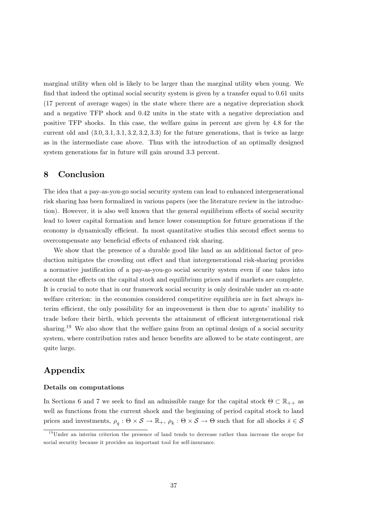marginal utility when old is likely to be larger than the marginal utility when young. We find that indeed the optimal social security system is given by a transfer equal to 0.61 units (17 percent of average wages) in the state where there are a negative depreciation shock and a negative TFP shock and 0.42 units in the state with a negative depreciation and positive TFP shocks. In this case, the welfare gains in percent are given by 4.8 for the current old and  $(3.0, 3.1, 3.1, 3.2, 3.2, 3.3)$  for the future generations, that is twice as large as in the intermediate case above. Thus with the introduction of an optimally designed system generations far in future will gain around 3.3 percent.

#### 8 Conclusion

The idea that a pay-as-you-go social security system can lead to enhanced intergenerational risk sharing has been formalized in various papers (see the literature review in the introduction). However, it is also well known that the general equilibrium effects of social security lead to lower capital formation and hence lower consumption for future generations if the economy is dynamically efficient. In most quantitative studies this second effect seems to overcompensate any beneficial effects of enhanced risk sharing.

We show that the presence of a durable good like land as an additional factor of production mitigates the crowding out effect and that intergenerational risk-sharing provides a normative justification of a pay-as-you-go social security system even if one takes into account the effects on the capital stock and equilibrium prices and if markets are complete. It is crucial to note that in our framework social security is only desirable under an ex-ante welfare criterion: in the economies considered competitive equilibria are in fact always interim efficient, the only possibility for an improvement is then due to agents' inability to trade before their birth, which prevents the attainment of efficient intergenerational risk sharing.<sup>19</sup> We also show that the welfare gains from an optimal design of a social security system, where contribution rates and hence benefits are allowed to be state contingent, are quite large.

# Appendix

# Details on computations

In Sections 6 and 7 we seek to find an admissible range for the capital stock  $\Theta \subset \mathbb{R}_{++}$  as well as functions from the current shock and the beginning of period capital stock to land prices and investments,  $\rho_q : \Theta \times \mathcal{S} \to \mathbb{R}_+, \rho_k : \Theta \times \mathcal{S} \to \Theta$  such that for all shocks  $\bar{s} \in \mathcal{S}$ 

 $19$ Under an interim criterion the presence of land tends to decrease rather than increase the scope for social security because it provides an important tool for self-insurance.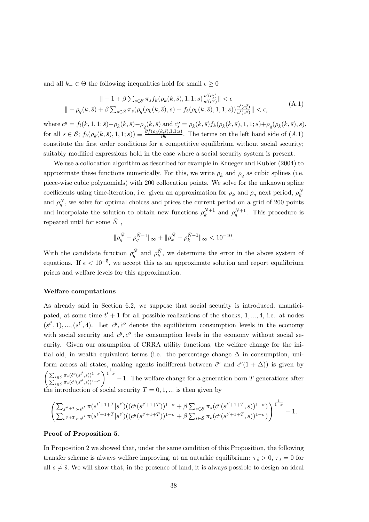and all  $k_-\in\Theta$  the following inequalities hold for small  $\epsilon>0$ 

$$
\| -1 + \beta \sum_{s \in \mathcal{S}} \pi_s f_k(\rho_k(k, \bar{s}), 1, 1; s) \frac{v'(c_s^*)}{u'(c^y)} \| < \epsilon
$$
  

$$
\| -\rho_q(k, \bar{s}) + \beta \sum_{s \in \mathcal{S}} \pi_s(\rho_q(\rho_k(k, \bar{s}), s) + f_b(\rho_k(k, \bar{s}), 1, 1; s)) \frac{v'(c_s^0)}{u'(c^y)} \| < \epsilon,
$$
 (A.1)

where  $c^y = f_l(k, 1, 1; \bar{s}) - \rho_k(k, \bar{s}) - \rho_q(k, \bar{s})$  and  $c_s^o = \rho_k(k, \bar{s}) f_k(\rho_k(k, \bar{s}), 1, 1; s) + \rho_q(\rho_k(k, \bar{s}), s)$ , for all  $s \in S$ ;  $f_b(\rho_k(k, \bar{s}), 1, 1; s)$  =  $\frac{\partial f(\rho_k(k, \bar{s}), 1, 1; s)}{\partial b}$ . The terms on the left hand side of  $(A.1)$ constitute the first order conditions for a competitive equilibrium without social security; suitably modified expressions hold in the case where a social security system is present.

We use a collocation algorithm as described for example in Krueger and Kubler (2004) to approximate these functions numerically. For this, we write  $\rho_k$  and  $\rho_q$  as cubic splines (i.e. piece-wise cubic polynomials) with 200 collocation points. We solve for the unknown spline coefficients using time-iteration, i.e. given an approximation for  $\rho_k$  and  $\rho_q$  next period,  $\rho_k^N$ and  $\rho_a^N$ , we solve for optimal choices and prices the current period on a grid of 200 points and interpolate the solution to obtain new functions  $\rho_k^{N+1}$  and  $\rho_q^{N+1}$ . This procedure is repeated until for some  $\bar{N}$ ,

$$
\|\rho_q^{\bar{N}}-\rho_q^{\bar{N}-1}\|_\infty+\|\rho_k^{\bar{N}}-\rho_k^{\bar{N}-1}\|_\infty<10^{-10}.
$$

With the candidate function  $\rho_{q}^{\bar{N}}$  and  $\rho_{k}^{\bar{N}}$ , we determine the error in the above system of equations. If  $\epsilon < 10^{-5}$ , we accept this as an approximate solution and report equilibrium prices and welfare levels for this approximation.

# **Welfare computations**

As already said in Section 6.2, we suppose that social security is introduced, unanticipated, at some time  $t' + 1$  for all possible realizations of the shocks, 1, ..., 4, i.e. at nodes  $(s^{t'}, 1), ..., (s^{t'}, 4)$ . Let  $\tilde{c}^y, \tilde{c}^o$  denote the equilibrium consumption levels in the economy with social security and  $c^y$ ,  $c^o$  the consumption levels in the economy without social security. Given our assumption of CRRA utility functions, the welfare change for the initial old, in wealth equivalent terms (i.e. the percentage change  $\Delta$  in consumption, uniform across all states, making agents indifferent between  $\tilde{c}^{\circ}$  and  $c^{\circ}(1+\Delta)$  is given by  $\left(\frac{\sum_{s \in \mathcal{S}} \pi_s(\tilde{c}^o(s^{t'}, s))^{1-\sigma}}{\sum_{s \in \mathcal{S}} \pi_s(c^0(s^{t'}, s))^{1-\sigma}}\right)^{\frac{1}{1-\sigma}} - 1$ . The welfare change for a generation born T generations after the introduction of social security  $T = 0, 1, ...$  is then given by

$$
\left(\frac{\sum_{s^{t'}+T_{\geq s^{t'}}}\pi(s^{t'+1+T}|s^{t'})((\tilde{c}^y(s^{t'+1+T}))^{1-\sigma}+\beta\sum_{s\in\mathcal{S}}\pi_s(\tilde{c}^o(s^{t'+1+T},s))^{1-\sigma})}{\sum_{s^{t'}+T_{\geq s^{t'}}}\pi(s^{t'+1+T}|s^{t'})((c^y(s^{t'+1+T}))^{1-\sigma}+\beta\sum_{s\in\mathcal{S}}\pi_s(c^o(s^{t'+1+T},s))^{1-\sigma})}\right)^{\frac{1}{1-\sigma}}-1.
$$

# Proof of Proposition 5.

In Proposition 2 we showed that, under the same condition of this Proposition, the following transfer scheme is always welfare improving, at an autorkic equilibrium:  $\tau_{\hat{s}} > 0$ ,  $\tau_s = 0$  for all  $s \neq \hat{s}$ . We will show that, in the presence of land, it is always possible to design an ideal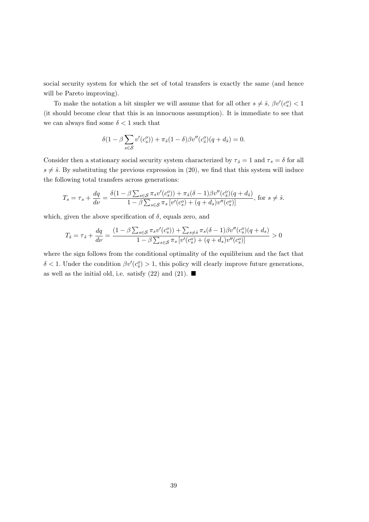social security system for which the set of total transfers is exactly the same (and hence will be Pareto improving).

To make the notation a bit simpler we will assume that for all other  $s \neq \hat{s}$ ,  $\beta v'(c_s^o) < 1$ (it should become clear that this is an innocuous assumption). It is immediate to see that we can always find some  $\delta$  < 1 such that

$$
\delta(1 - \beta \sum_{s \in S} v'(c_s^o)) + \pi_{\hat{s}}(1 - \delta) \beta v''(c_{\hat{s}}^o)(q + d_{\hat{s}}) = 0.
$$

Consider then a stationary social security system characterized by  $\tau_{\hat{s}} = 1$  and  $\tau_s = \delta$  for all  $s \neq \hat{s}$ . By substituting the previous expression in (20), we find that this system will induce the following total transfers across generations:

$$
T_s = \tau_s + \frac{dq}{d\nu} = \frac{\delta(1 - \beta \sum_{s \in \mathcal{S}} \pi_s v'(c_s^o)) + \pi_{\hat{s}}(\delta - 1)\beta v''(c_s^o)(q + d_{\hat{s}})}{1 - \beta \sum_{s \in \mathcal{S}} \pi_s \left[v'(c_s^o) + (q + d_s)v''(c_s^o)\right]},
$$
 for  $s \neq \hat{s}$ .

which, given the above specification of  $\delta$ , equals zero, and

$$
T_{\hat{s}} = \tau_{\hat{s}} + \frac{dq}{d\nu} = \frac{(1 - \beta \sum_{s \in \mathcal{S}} \pi_s v'(c_s^o)) + \sum_{s \neq \hat{s}} \pi_s (\delta - 1) \beta v''(c_s^o)(q + d_s)}{1 - \beta \sum_{s \in \mathcal{S}} \pi_s \left[ v'(c_s^o) + (q + d_s) v''(c_s^o) \right]} > 0
$$

where the sign follows from the conditional optimality of the equilibrium and the fact that  $\delta$  < 1. Under the condition  $\beta v'(c_{\hat{s}}^o) > 1$ , this policy will clearly improve future generations, as well as the initial old, i.e. satisfy (22) and (21).  $\blacksquare$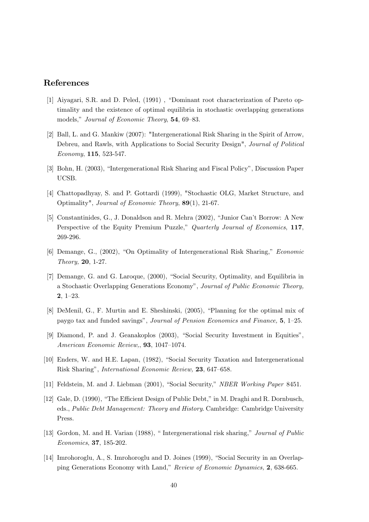# References

- [1] Aiyagari, S.R. and D. Peled, (1991), "Dominant root characterization of Pareto optimality and the existence of optimal equilibria in stochastic overlapping generations models," Journal of Economic Theory, 54, 69–83.
- [2] Ball, L. and G. Mankiw (2007): "Intergenerational Risk Sharing in the Spirit of Arrow, Debreu, and Rawls, with Applications to Social Security Design", *Journal of Political* Economy, 115, 523-547.
- [3] Bohn, H. (2003). "Intergenerational Risk Sharing and Fiscal Policy". Discussion Paper UCSB.
- [4] Chattopadhyay, S. and P. Gottardi (1999), "Stochastic OLG, Market Structure, and Optimality", Journal of Economic Theory, 89(1), 21-67.
- [5] Constantinides, G., J. Donaldson and R. Mehra (2002), "Junior Can't Borrow: A New Perspective of the Equity Premium Puzzle," Quarterly Journal of Economics, 117, 269-296.
- [6] Demange, G., (2002), "On Optimality of Intergenerational Risk Sharing," *Economic* Theory, 20, 1-27.
- [7] Demange, G. and G. Laroque, (2000), "Social Security, Optimality, and Equilibria in a Stochastic Overlapping Generations Economy", Journal of Public Economic Theory,  $2.1 - 23.$
- [8] DeMenil, G., F. Murtin and E. Sheshinski, (2005), "Planning for the optimal mix of paygo tax and funded savings", Journal of Pension Economics and Finance, 5, 1-25.
- [9] Diamond, P. and J. Geanakoplos (2003), "Social Security Investment in Equities", American Economic Review, 93, 1047-1074.
- [10] Enders, W. and H.E. Lapan, (1982), "Social Security Taxation and Intergenerational Risk Sharing", *International Economic Review*, 23, 647-658.
- [11] Feldstein, M. and J. Liebman (2001), "Social Security," NBER Working Paper 8451.
- [12] Gale, D. (1990), "The Efficient Design of Public Debt," in M. Draghi and R. Dornbusch, eds., Public Debt Management: Theory and History. Cambridge: Cambridge University Press.
- [13] Gordon, M. and H. Varian (1988). "Intergenerational risk sharing." Journal of Public Economics, 37, 185-202.
- [14] Imrohoroglu, A., S. Imrohoroglu and D. Joines (1999), "Social Security in an Overlapping Generations Economy with Land," Review of Economic Dynamics, 2, 638-665.